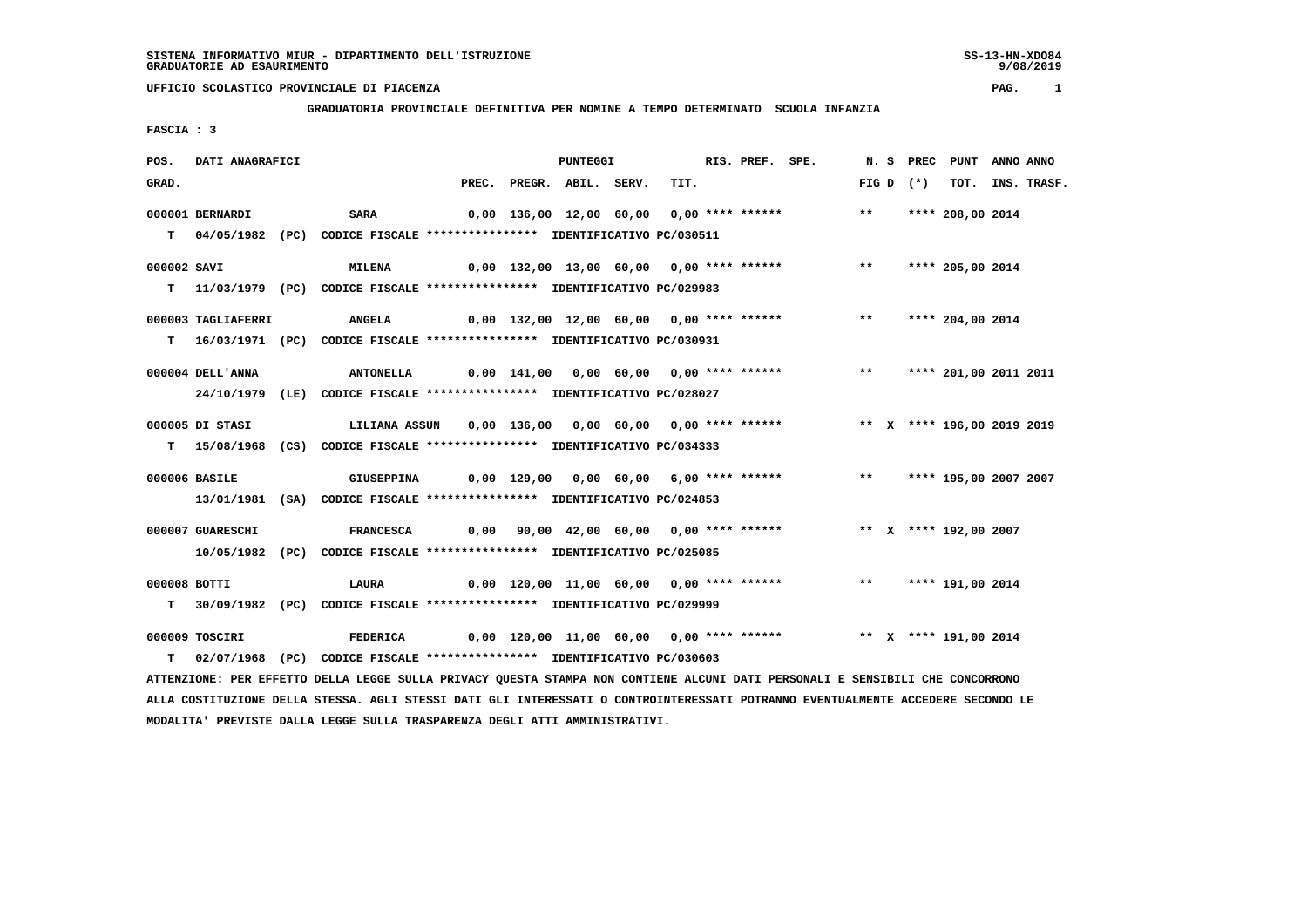### **GRADUATORIA PROVINCIALE DEFINITIVA PER NOMINE A TEMPO DETERMINATO SCUOLA INFANZIA**

 **FASCIA : 3**

| POS.         | DATI ANAGRAFICI    |                                                                                                                               |  | <b>PUNTEGGI</b>          |                                          | RIS. PREF. SPE. |                                                                          |               |             | N. S PREC PUNT ANNO ANNO |                  |
|--------------|--------------------|-------------------------------------------------------------------------------------------------------------------------------|--|--------------------------|------------------------------------------|-----------------|--------------------------------------------------------------------------|---------------|-------------|--------------------------|------------------|
| GRAD.        |                    |                                                                                                                               |  | PREC. PREGR. ABIL. SERV. | TIT.                                     |                 |                                                                          |               | FIG D $(*)$ |                          | TOT. INS. TRASF. |
|              | 000001 BERNARDI    | <b>SARA</b>                                                                                                                   |  |                          | 0,00 136,00 12,00 60,00 0,00 **** ****** |                 |                                                                          | $\star \star$ |             | **** 208,00 2014         |                  |
|              |                    | T 04/05/1982 (PC) CODICE FISCALE *************** IDENTIFICATIVO PC/030511                                                     |  |                          |                                          |                 |                                                                          |               |             |                          |                  |
| 000002 SAVI  |                    | <b>MILENA</b>                                                                                                                 |  |                          |                                          |                 | 0,00 132,00 13,00 60,00 0,00 **** ****** **** *** **** 205,00 2014       |               |             |                          |                  |
|              |                    | T 11/03/1979 (PC) CODICE FISCALE *************** IDENTIFICATIVO PC/029983                                                     |  |                          |                                          |                 |                                                                          |               |             |                          |                  |
|              | 000003 TAGLIAFERRI | <b>ANGELA</b>                                                                                                                 |  |                          | 0,00 132,00 12,00 60,00 0,00 **** ****** |                 |                                                                          | $***$         |             | **** 204,00 2014         |                  |
|              |                    | T 16/03/1971 (PC) CODICE FISCALE *************** IDENTIFICATIVO PC/030931                                                     |  |                          |                                          |                 |                                                                          |               |             |                          |                  |
|              | 000004 DELL'ANNA   | <b>ANTONELLA</b>                                                                                                              |  |                          |                                          |                 |                                                                          |               |             |                          |                  |
|              |                    | 24/10/1979 (LE) CODICE FISCALE *************** IDENTIFICATIVO PC/028027                                                       |  |                          |                                          |                 |                                                                          |               |             |                          |                  |
|              | 000005 DI STASI    | LILIANA ASSUN                                                                                                                 |  |                          |                                          |                 | 0,00 136,00 0,00 60,00 0,00 **** ****** *** ** ** **** 196,00 2019 2019  |               |             |                          |                  |
|              |                    | T 15/08/1968 (CS) CODICE FISCALE **************** IDENTIFICATIVO PC/034333                                                    |  |                          |                                          |                 |                                                                          |               |             |                          |                  |
|              | 000006 BASILE      | <b>GIUSEPPINA</b>                                                                                                             |  |                          |                                          |                 |                                                                          |               |             |                          |                  |
|              |                    | 13/01/1981 (SA) CODICE FISCALE *************** IDENTIFICATIVO PC/024853                                                       |  |                          |                                          |                 |                                                                          |               |             |                          |                  |
|              | 000007 GUARESCHI   | <b>FRANCESCA</b>                                                                                                              |  |                          |                                          |                 | 0,00 90,00 42,00 60,00 0,00 **** ****** *** ** ** *** 192,00 2007        |               |             |                          |                  |
|              |                    | 10/05/1982 (PC) CODICE FISCALE *************** IDENTIFICATIVO PC/025085                                                       |  |                          |                                          |                 |                                                                          |               |             |                          |                  |
| 000008 BOTTI |                    | LAURA                                                                                                                         |  |                          | 0,00 120,00 11,00 60,00 0,00 **** ****** |                 |                                                                          |               |             | ** **** 191,00 2014      |                  |
|              |                    | T 30/09/1982 (PC) CODICE FISCALE **************** IDENTIFICATIVO PC/029999                                                    |  |                          |                                          |                 |                                                                          |               |             |                          |                  |
|              | 000009 TOSCIRI     | FEDERICA                                                                                                                      |  |                          |                                          |                 | 0,00 120,00 11,00 60,00 0,00 **** ******           ** X **** 191,00 2014 |               |             |                          |                  |
| т            |                    | 02/07/1968 (PC) CODICE FISCALE *************** IDENTIFICATIVO PC/030603                                                       |  |                          |                                          |                 |                                                                          |               |             |                          |                  |
|              |                    | ATTENZIONE: PER EFFETTO DELLA LEGGE SULLA PRIVACY QUESTA STAMPA NON CONTIENE ALCUNI DATI PERSONALI E SENSIBILI CHE CONCORRONO |  |                          |                                          |                 |                                                                          |               |             |                          |                  |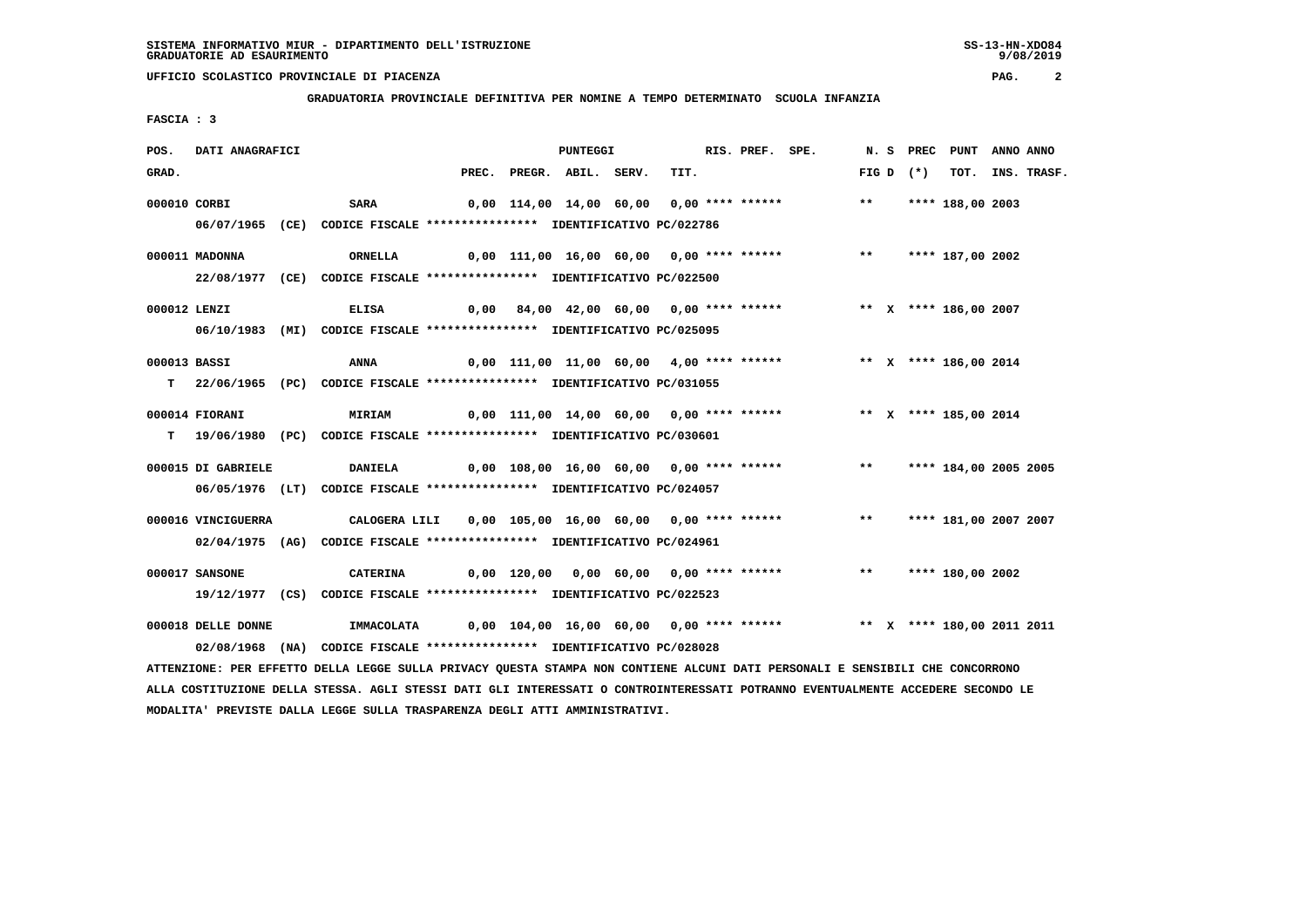**GRADUATORIA PROVINCIALE DEFINITIVA PER NOMINE A TEMPO DETERMINATO SCUOLA INFANZIA**

 **FASCIA : 3**

| POS.  | DATI ANAGRAFICI    |                                                                                                                                 |                          | PUNTEGGI |                                          | RIS. PREF. SPE. |                                                                          |              |             | N. S PREC PUNT ANNO ANNO |                  |
|-------|--------------------|---------------------------------------------------------------------------------------------------------------------------------|--------------------------|----------|------------------------------------------|-----------------|--------------------------------------------------------------------------|--------------|-------------|--------------------------|------------------|
| GRAD. |                    |                                                                                                                                 | PREC. PREGR. ABIL. SERV. |          | TIT.                                     |                 |                                                                          |              | FIG D $(*)$ |                          | TOT. INS. TRASF. |
|       | 000010 CORBI       | <b>SARA</b>                                                                                                                     |                          |          | 0,00 114,00 14,00 60,00 0,00 **** ****** |                 |                                                                          | $***$        |             | **** 188,00 2003         |                  |
|       |                    | 06/07/1965 (CE) CODICE FISCALE *************** IDENTIFICATIVO PC/022786                                                         |                          |          |                                          |                 |                                                                          |              |             |                          |                  |
|       |                    |                                                                                                                                 |                          |          |                                          |                 |                                                                          |              |             |                          |                  |
|       | 000011 MADONNA     | <b>ORNELLA</b>                                                                                                                  |                          |          |                                          |                 | $0,00$ 111,00 16,00 60,00 0,00 **** ****** ***** ***                     |              |             | **** 187,00 2002         |                  |
|       |                    | 22/08/1977 (CE) CODICE FISCALE *************** IDENTIFICATIVO PC/022500                                                         |                          |          |                                          |                 |                                                                          |              |             |                          |                  |
|       | 000012 LENZI       | <b>ELISA</b>                                                                                                                    |                          |          | 0,00 84,00 42,00 60,00 0,00 **** ******  |                 |                                                                          |              |             | ** X **** 186,00 2007    |                  |
|       |                    | 06/10/1983 (MI) CODICE FISCALE *************** IDENTIFICATIVO PC/025095                                                         |                          |          |                                          |                 |                                                                          |              |             |                          |                  |
|       |                    |                                                                                                                                 |                          |          |                                          |                 |                                                                          |              |             |                          |                  |
|       | 000013 BASSI       | ANNA                                                                                                                            |                          |          | 0,00 111,00 11,00 60,00 4,00 **** ****** |                 |                                                                          |              |             | ** X **** 186,00 2014    |                  |
|       |                    | T 22/06/1965 (PC) CODICE FISCALE *************** IDENTIFICATIVO PC/031055                                                       |                          |          |                                          |                 |                                                                          |              |             |                          |                  |
|       | 000014 FIORANI     | <b>MIRIAM</b>                                                                                                                   |                          |          |                                          |                 | 0,00 111,00 14,00 60,00 0,00 **** ****** **** ** **** 185,00 2014        |              |             |                          |                  |
|       |                    | T 19/06/1980 (PC) CODICE FISCALE **************** IDENTIFICATIVO PC/030601                                                      |                          |          |                                          |                 |                                                                          |              |             |                          |                  |
|       |                    |                                                                                                                                 |                          |          |                                          |                 | 0,00 108,00 16,00 60,00 0,00 **** ****** *** **** 184,00 2005 2005       |              |             |                          |                  |
|       | 000015 DI GABRIELE | <b>DANIELA</b>                                                                                                                  |                          |          |                                          |                 |                                                                          |              |             |                          |                  |
|       |                    | 06/05/1976 (LT) CODICE FISCALE *************** IDENTIFICATIVO PC/024057                                                         |                          |          |                                          |                 |                                                                          |              |             |                          |                  |
|       | 000016 VINCIGUERRA | CALOGERA LILI                                                                                                                   |                          |          |                                          |                 | 0,00 105,00 16,00 60,00 0,00 **** ******                                 | $\star\star$ |             | **** 181,00 2007 2007    |                  |
|       |                    | 02/04/1975 (AG) CODICE FISCALE *************** IDENTIFICATIVO PC/024961                                                         |                          |          |                                          |                 |                                                                          |              |             |                          |                  |
|       |                    |                                                                                                                                 |                          |          |                                          |                 |                                                                          |              |             |                          |                  |
|       | 000017 SANSONE     | CATERINA                                                                                                                        |                          |          |                                          |                 | 0,00 120,00 0,00 60,00 0,00 **** ****** *** *** **** 180,00 2002         |              |             |                          |                  |
|       |                    | 19/12/1977 (CS) CODICE FISCALE *************** IDENTIFICATIVO PC/022523                                                         |                          |          |                                          |                 |                                                                          |              |             |                          |                  |
|       | 000018 DELLE DONNE | IMMACOLATA                                                                                                                      |                          |          |                                          |                 | 0,00 104,00 16,00 60,00 0,00 **** ****** *** ** ** **** 180,00 2011 2011 |              |             |                          |                  |
|       |                    | 02/08/1968 (NA) CODICE FISCALE *************** IDENTIFICATIVO PC/028028                                                         |                          |          |                                          |                 |                                                                          |              |             |                          |                  |
|       |                    | ATTENZIONE: PER EFFETTO DELLA LEGGE SULLA PRIVACY QUESTA STAMPA NON CONTIENE ALCUNI DATI PERSONALI E SENSIBILI CHE CONCORRONO   |                          |          |                                          |                 |                                                                          |              |             |                          |                  |
|       |                    | ALLA COSTITUZIONE DELLA STESSA. AGLI STESSI DATI GLI INTERESSATI O CONTROINTERESSATI POTRANNO EVENTUALMENTE ACCEDERE SECONDO LE |                          |          |                                          |                 |                                                                          |              |             |                          |                  |

 **MODALITA' PREVISTE DALLA LEGGE SULLA TRASPARENZA DEGLI ATTI AMMINISTRATIVI.**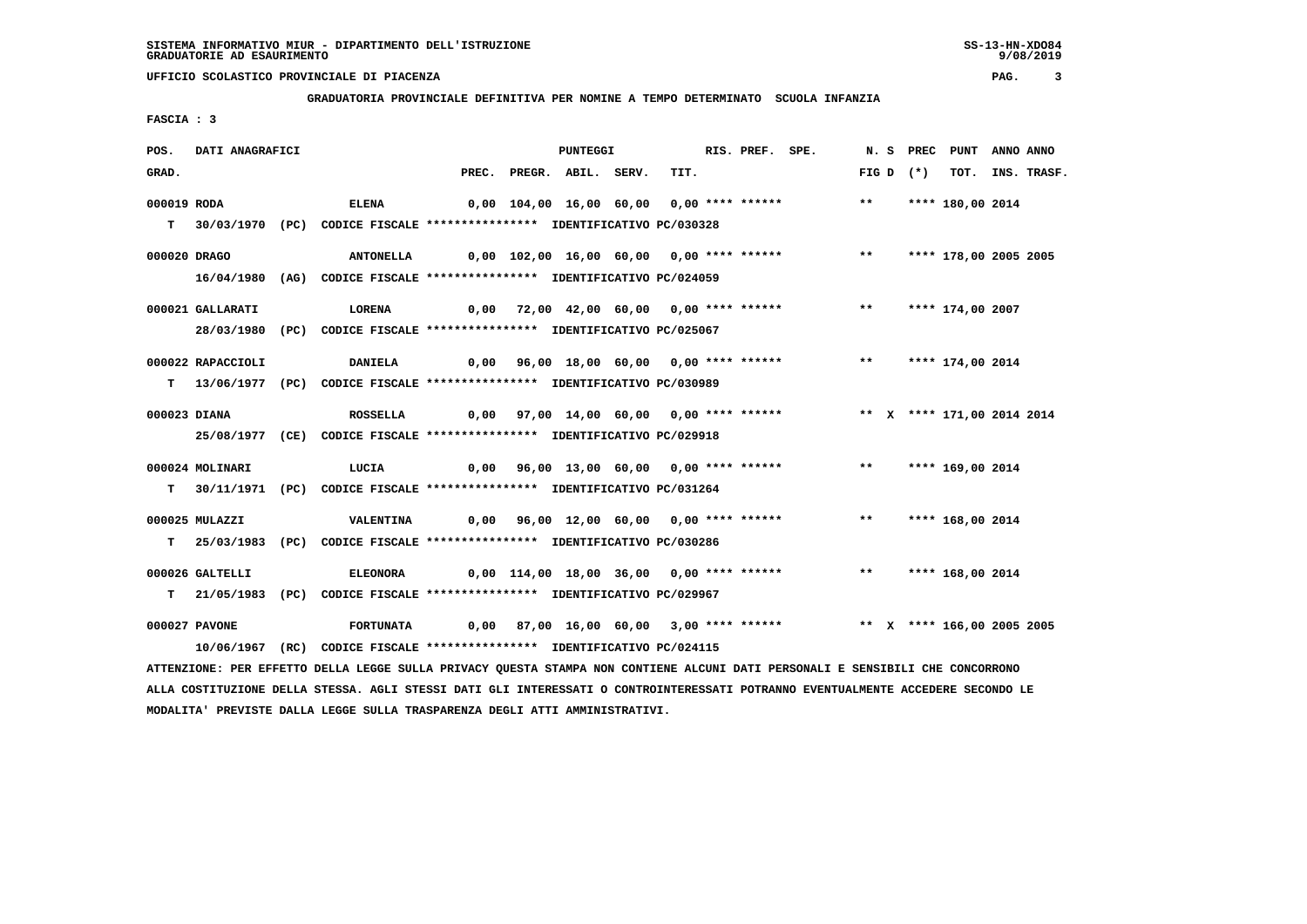**GRADUATORIA PROVINCIALE DEFINITIVA PER NOMINE A TEMPO DETERMINATO SCUOLA INFANZIA**

 **FASCIA : 3**

| POS.        | DATI ANAGRAFICI   |                                                                                                                                 |      | PUNTEGGI                 |                                          | RIS. PREF. SPE. |                                                                         |       |             | N. S PREC PUNT ANNO ANNO   |                  |
|-------------|-------------------|---------------------------------------------------------------------------------------------------------------------------------|------|--------------------------|------------------------------------------|-----------------|-------------------------------------------------------------------------|-------|-------------|----------------------------|------------------|
| GRAD.       |                   |                                                                                                                                 |      | PREC. PREGR. ABIL. SERV. | TIT.                                     |                 |                                                                         |       | FIG D $(*)$ |                            | TOT. INS. TRASF. |
| 000019 RODA |                   | <b>ELENA</b>                                                                                                                    |      |                          | 0,00 104,00 16,00 60,00 0,00 **** ****** |                 |                                                                         | $***$ |             | **** 180,00 2014           |                  |
|             |                   |                                                                                                                                 |      |                          |                                          |                 |                                                                         |       |             |                            |                  |
|             |                   | T 30/03/1970 (PC) CODICE FISCALE *************** IDENTIFICATIVO PC/030328                                                       |      |                          |                                          |                 |                                                                         |       |             |                            |                  |
|             | 000020 DRAGO      | <b>ANTONELLA</b>                                                                                                                |      |                          | 0,00 102,00 16,00 60,00 0,00 **** ****** |                 |                                                                         | $***$ |             | **** 178,00 2005 2005      |                  |
|             |                   | 16/04/1980 (AG) CODICE FISCALE **************** IDENTIFICATIVO PC/024059                                                        |      |                          |                                          |                 |                                                                         |       |             |                            |                  |
|             |                   |                                                                                                                                 |      |                          |                                          |                 |                                                                         |       |             |                            |                  |
|             | 000021 GALLARATI  | LORENA                                                                                                                          |      |                          | 0,00 72,00 42,00 60,00 0,00 **** ******  |                 |                                                                         |       |             | ** **** 174,00 2007        |                  |
|             |                   | 28/03/1980 (PC) CODICE FISCALE *************** IDENTIFICATIVO PC/025067                                                         |      |                          |                                          |                 |                                                                         |       |             |                            |                  |
|             |                   |                                                                                                                                 |      |                          |                                          |                 |                                                                         |       |             |                            |                  |
|             | 000022 RAPACCIOLI | <b>DANIELA</b>                                                                                                                  |      |                          | 0,00 96,00 18,00 60,00 0,00 **** ******  |                 |                                                                         |       |             | ** **** 174,00 2014        |                  |
|             |                   | T 13/06/1977 (PC) CODICE FISCALE **************** IDENTIFICATIVO PC/030989                                                      |      |                          |                                          |                 |                                                                         |       |             |                            |                  |
|             | 000023 DIANA      | <b>ROSSELLA</b>                                                                                                                 |      |                          | 0,00 97,00 14,00 60,00 0,00 **** ******  |                 |                                                                         |       |             | ** X **** 171,00 2014 2014 |                  |
|             |                   | 25/08/1977 (CE) CODICE FISCALE *************** IDENTIFICATIVO PC/029918                                                         |      |                          |                                          |                 |                                                                         |       |             |                            |                  |
|             |                   |                                                                                                                                 |      |                          |                                          |                 |                                                                         |       |             |                            |                  |
|             | 000024 MOLINARI   | LUCIA                                                                                                                           | 0,00 |                          |                                          |                 | 96,00 13,00 60,00 0,00 **** ****** **** *** **** 169,00 2014            |       |             |                            |                  |
|             |                   | T 30/11/1971 (PC) CODICE FISCALE **************** IDENTIFICATIVO PC/031264                                                      |      |                          |                                          |                 |                                                                         |       |             |                            |                  |
|             |                   |                                                                                                                                 |      |                          |                                          |                 |                                                                         |       |             |                            |                  |
|             | 000025 MULAZZI    | VALENTINA                                                                                                                       |      |                          | 0,00 96,00 12,00 60,00 0,00 **** ******  |                 |                                                                         | $***$ |             | **** 168,00 2014           |                  |
|             |                   | T 25/03/1983 (PC) CODICE FISCALE **************** IDENTIFICATIVO PC/030286                                                      |      |                          |                                          |                 |                                                                         |       |             |                            |                  |
|             |                   |                                                                                                                                 |      |                          |                                          |                 |                                                                         |       |             |                            |                  |
|             | 000026 GALTELLI   | <b>ELEONORA</b>                                                                                                                 |      |                          |                                          |                 | 0,00 114,00 18,00 36,00 0,00 **** ******                                |       |             | ** **** 168,00 2014        |                  |
|             |                   | T 21/05/1983 (PC) CODICE FISCALE **************** IDENTIFICATIVO PC/029967                                                      |      |                          |                                          |                 |                                                                         |       |             |                            |                  |
|             | 000027 PAVONE     | <b>FORTUNATA</b>                                                                                                                |      |                          |                                          |                 | 0,00 87,00 16,00 60,00 3,00 **** ****** *** ** ** **** 166,00 2005 2005 |       |             |                            |                  |
|             |                   | 10/06/1967 (RC) CODICE FISCALE *************** IDENTIFICATIVO PC/024115                                                         |      |                          |                                          |                 |                                                                         |       |             |                            |                  |
|             |                   | ATTENZIONE: PER EFFETTO DELLA LEGGE SULLA PRIVACY QUESTA STAMPA NON CONTIENE ALCUNI DATI PERSONALI E SENSIBILI CHE CONCORRONO   |      |                          |                                          |                 |                                                                         |       |             |                            |                  |
|             |                   | ALLA COSTITUZIONE DELLA STESSA. AGLI STESSI DATI GLI INTERESSATI O CONTROINTERESSATI POTRANNO EVENTUALMENTE ACCEDERE SECONDO LE |      |                          |                                          |                 |                                                                         |       |             |                            |                  |

 **MODALITA' PREVISTE DALLA LEGGE SULLA TRASPARENZA DEGLI ATTI AMMINISTRATIVI.**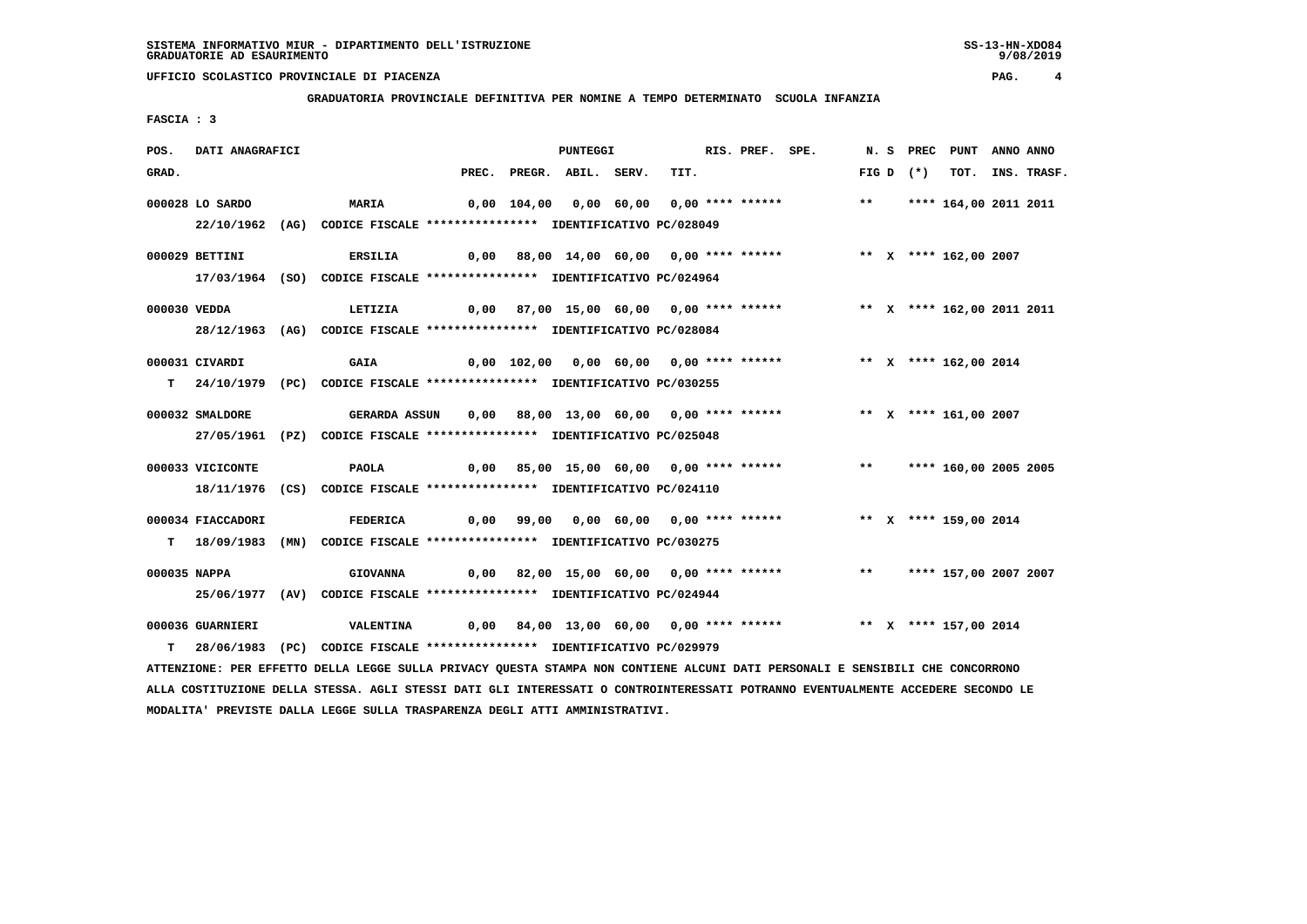**GRADUATORIA PROVINCIALE DEFINITIVA PER NOMINE A TEMPO DETERMINATO SCUOLA INFANZIA**

 **FASCIA : 3**

| POS.  | DATI ANAGRAFICI   |                                                                                                                               |  | PUNTEGGI                 |                                         | RIS. PREF. SPE. |                                                                         |  |             | N. S PREC PUNT ANNO ANNO |                  |
|-------|-------------------|-------------------------------------------------------------------------------------------------------------------------------|--|--------------------------|-----------------------------------------|-----------------|-------------------------------------------------------------------------|--|-------------|--------------------------|------------------|
| GRAD. |                   |                                                                                                                               |  | PREC. PREGR. ABIL. SERV. | TIT.                                    |                 |                                                                         |  | $FIG D (*)$ |                          | TOT. INS. TRASF. |
|       | 000028 LO SARDO   | <b>MARIA</b>                                                                                                                  |  |                          |                                         |                 |                                                                         |  |             |                          |                  |
|       |                   | 22/10/1962 (AG) CODICE FISCALE *************** IDENTIFICATIVO PC/028049                                                       |  |                          |                                         |                 |                                                                         |  |             |                          |                  |
|       | 000029 BETTINI    | <b>ERSILIA</b>                                                                                                                |  |                          |                                         |                 | 0,00 88,00 14,00 60,00 0,00 **** ******           ** x **** 162,00 2007 |  |             |                          |                  |
|       |                   | 17/03/1964 (SO) CODICE FISCALE *************** IDENTIFICATIVO PC/024964                                                       |  |                          |                                         |                 |                                                                         |  |             |                          |                  |
|       | 000030 VEDDA      | LETIZIA                                                                                                                       |  |                          |                                         |                 | 0,00 87,00 15,00 60,00 0,00 **** ****** **** ** **** 162,00 2011 2011   |  |             |                          |                  |
|       |                   | 28/12/1963 (AG) CODICE FISCALE *************** IDENTIFICATIVO PC/028084                                                       |  |                          |                                         |                 |                                                                         |  |             |                          |                  |
|       | 000031 CIVARDI    | <b>GAIA</b>                                                                                                                   |  |                          | 0,00 102,00 0,00 60,00 0,00 **** ****** |                 |                                                                         |  |             | ** X **** 162,00 2014    |                  |
|       |                   | T 24/10/1979 (PC) CODICE FISCALE **************** IDENTIFICATIVO PC/030255                                                    |  |                          |                                         |                 |                                                                         |  |             |                          |                  |
|       | 000032 SMALDORE   | <b>GERARDA ASSUN</b>                                                                                                          |  |                          |                                         |                 | 0,00 88,00 13,00 60,00 0,00 **** ******           ** X **** 161,00 2007 |  |             |                          |                  |
|       |                   | 27/05/1961 (PZ) CODICE FISCALE *************** IDENTIFICATIVO PC/025048                                                       |  |                          |                                         |                 |                                                                         |  |             |                          |                  |
|       | 000033 VICICONTE  | <b>PAOLA</b>                                                                                                                  |  |                          |                                         |                 | 0,00 85,00 15,00 60,00 0,00 **** ******                                 |  |             | ** **** 160,00 2005 2005 |                  |
|       |                   | 18/11/1976 (CS) CODICE FISCALE *************** IDENTIFICATIVO PC/024110                                                       |  |                          |                                         |                 |                                                                         |  |             |                          |                  |
|       | 000034 FIACCADORI | <b>FEDERICA</b>                                                                                                               |  |                          |                                         |                 | 0,00 99,00 0,00 60,00 0,00 **** ****** * * * * * **** 159,00 2014       |  |             |                          |                  |
|       |                   | T 18/09/1983 (MN) CODICE FISCALE **************** IDENTIFICATIVO PC/030275                                                    |  |                          |                                         |                 |                                                                         |  |             |                          |                  |
|       | 000035 NAPPA      | <b>GIOVANNA</b>                                                                                                               |  |                          |                                         |                 | 0,00 82,00 15,00 60,00 0,00 **** ******     **   **** 157,00 2007 2007  |  |             |                          |                  |
|       |                   | 25/06/1977 (AV) CODICE FISCALE *************** IDENTIFICATIVO PC/024944                                                       |  |                          |                                         |                 |                                                                         |  |             |                          |                  |
|       | 000036 GUARNIERI  | <b>VALENTINA</b>                                                                                                              |  |                          |                                         |                 | 0,00 84,00 13,00 60,00 0,00 **** ****** *** ** ** *** 157,00 2014       |  |             |                          |                  |
|       |                   | T 28/06/1983 (PC) CODICE FISCALE *************** IDENTIFICATIVO PC/029979                                                     |  |                          |                                         |                 |                                                                         |  |             |                          |                  |
|       |                   | ATTENZIONE: PER EFFETTO DELLA LEGGE SULLA PRIVACY QUESTA STAMPA NON CONTIENE ALCUNI DATI PERSONALI E SENSIBILI CHE CONCORRONO |  |                          |                                         |                 |                                                                         |  |             |                          |                  |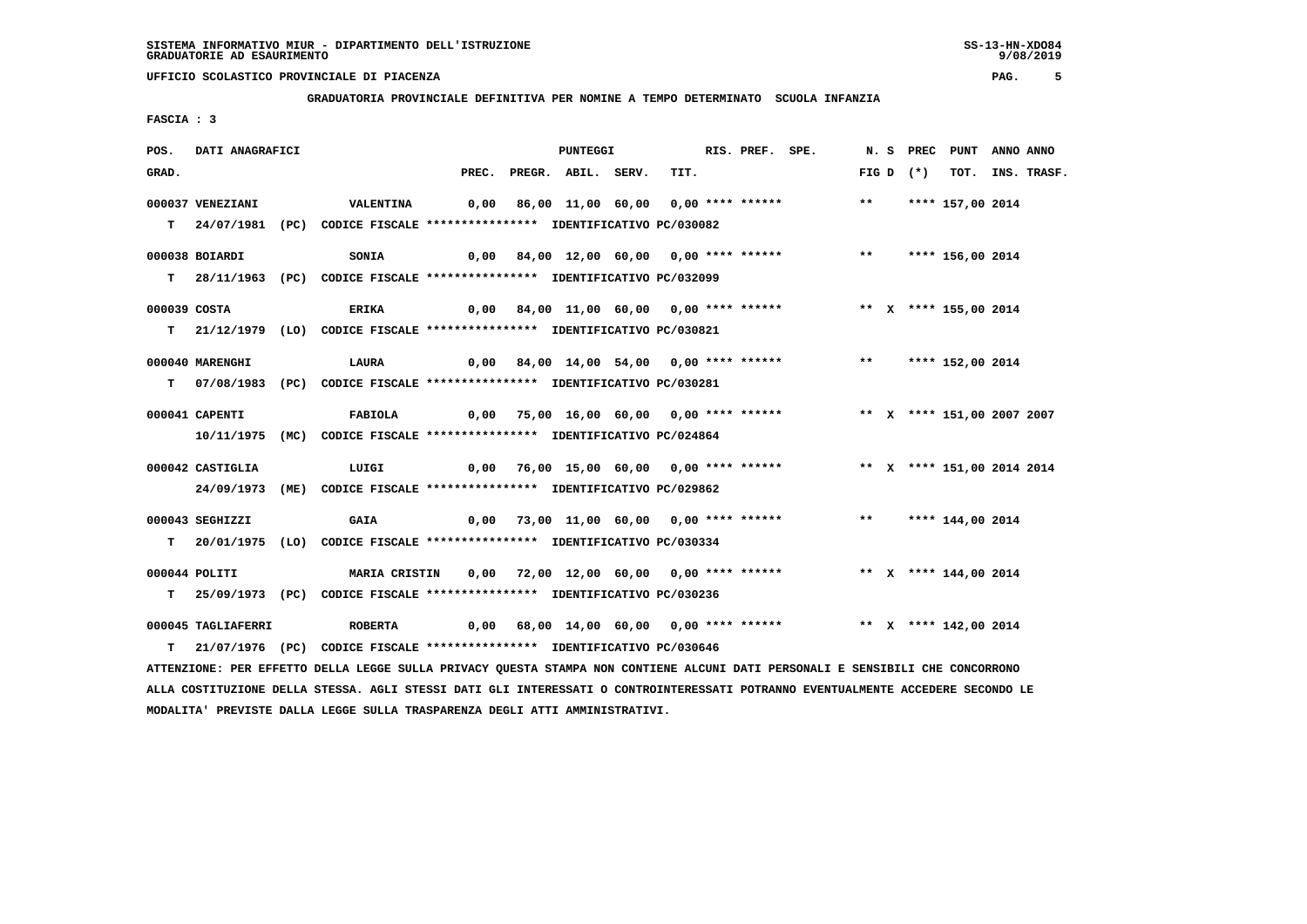**GRADUATORIA PROVINCIALE DEFINITIVA PER NOMINE A TEMPO DETERMINATO SCUOLA INFANZIA**

 **FASCIA : 3**

| POS.         | DATI ANAGRAFICI    |                                                                                                                               |  | PUNTEGGI                 |      | RIS. PREF. SPE. |                                                                           |  |             | N. S PREC PUNT ANNO ANNO |                  |
|--------------|--------------------|-------------------------------------------------------------------------------------------------------------------------------|--|--------------------------|------|-----------------|---------------------------------------------------------------------------|--|-------------|--------------------------|------------------|
| GRAD.        |                    |                                                                                                                               |  | PREC. PREGR. ABIL. SERV. | TIT. |                 |                                                                           |  | $FIG D (*)$ |                          | TOT. INS. TRASF. |
|              | 000037 VENEZIANI   | <b>VALENTINA</b>                                                                                                              |  |                          |      |                 |                                                                           |  |             |                          |                  |
|              |                    |                                                                                                                               |  |                          |      |                 |                                                                           |  |             |                          |                  |
|              |                    | T 24/07/1981 (PC) CODICE FISCALE *************** IDENTIFICATIVO PC/030082                                                     |  |                          |      |                 |                                                                           |  |             |                          |                  |
|              | 000038 BOIARDI     | <b>SONIA</b>                                                                                                                  |  |                          |      |                 | 0,00 84,00 12,00 60,00 0,00 **** ****** *** *** **** 156,00 2014          |  |             |                          |                  |
|              |                    | T 28/11/1963 (PC) CODICE FISCALE *************** IDENTIFICATIVO PC/032099                                                     |  |                          |      |                 |                                                                           |  |             |                          |                  |
|              |                    |                                                                                                                               |  |                          |      |                 |                                                                           |  |             |                          |                  |
| 000039 COSTA |                    | ERIKA                                                                                                                         |  |                          |      |                 | 0,00 84,00 11,00 60,00 0,00 **** ****** **** ** **** 155,00 2014          |  |             |                          |                  |
|              |                    | T 21/12/1979 (LO) CODICE FISCALE **************** IDENTIFICATIVO PC/030821                                                    |  |                          |      |                 |                                                                           |  |             |                          |                  |
|              |                    |                                                                                                                               |  |                          |      |                 |                                                                           |  |             |                          |                  |
|              | 000040 MARENGHI    | LAURA                                                                                                                         |  |                          |      |                 | 0,00 84,00 14,00 54,00 0,00 **** ****** *** **** 152,00 2014              |  |             |                          |                  |
|              |                    | T 07/08/1983 (PC) CODICE FISCALE *************** IDENTIFICATIVO PC/030281                                                     |  |                          |      |                 |                                                                           |  |             |                          |                  |
|              |                    |                                                                                                                               |  |                          |      |                 |                                                                           |  |             |                          |                  |
|              | 000041 CAPENTI     | FABIOLA                                                                                                                       |  |                          |      |                 | 0,00 75,00 16,00 60,00 0,00 **** ****** **** *** ** **** 151,00 2007 2007 |  |             |                          |                  |
|              |                    | 10/11/1975 (MC) CODICE FISCALE *************** IDENTIFICATIVO PC/024864                                                       |  |                          |      |                 |                                                                           |  |             |                          |                  |
|              | 000042 CASTIGLIA   | LUIGI                                                                                                                         |  |                          |      |                 | 0,00 76,00 15,00 60,00 0,00 **** ****** **** *** **** 151,00 2014 2014    |  |             |                          |                  |
|              |                    | 24/09/1973 (ME) CODICE FISCALE *************** IDENTIFICATIVO PC/029862                                                       |  |                          |      |                 |                                                                           |  |             |                          |                  |
|              |                    |                                                                                                                               |  |                          |      |                 |                                                                           |  |             |                          |                  |
|              | 000043 SEGHIZZI    | <b>GAIA</b>                                                                                                                   |  |                          |      |                 | 0,00 73,00 11,00 60,00 0,00 **** ****** *** *** **** 144,00 2014          |  |             |                          |                  |
|              |                    | T 20/01/1975 (LO) CODICE FISCALE *************** IDENTIFICATIVO PC/030334                                                     |  |                          |      |                 |                                                                           |  |             |                          |                  |
|              |                    |                                                                                                                               |  |                          |      |                 |                                                                           |  |             |                          |                  |
|              | 000044 POLITI      | MARIA CRISTIN 0,00 72,00 12,00 60,00 0,00 **** ****** **** ** **** 144,00 2014                                                |  |                          |      |                 |                                                                           |  |             |                          |                  |
|              |                    | T 25/09/1973 (PC) CODICE FISCALE *************** IDENTIFICATIVO PC/030236                                                     |  |                          |      |                 |                                                                           |  |             |                          |                  |
|              | 000045 TAGLIAFERRI | <b>ROBERTA</b>                                                                                                                |  |                          |      |                 | 0,00 68,00 14,00 60,00 0,00 **** ****** **** ** **** 142,00 2014          |  |             |                          |                  |
|              |                    | T 21/07/1976 (PC) CODICE FISCALE *************** IDENTIFICATIVO PC/030646                                                     |  |                          |      |                 |                                                                           |  |             |                          |                  |
|              |                    |                                                                                                                               |  |                          |      |                 |                                                                           |  |             |                          |                  |
|              |                    | ATTENZIONE: PER EFFETTO DELLA LEGGE SULLA PRIVACY QUESTA STAMPA NON CONTIENE ALCUNI DATI PERSONALI E SENSIBILI CHE CONCORRONO |  |                          |      |                 |                                                                           |  |             |                          |                  |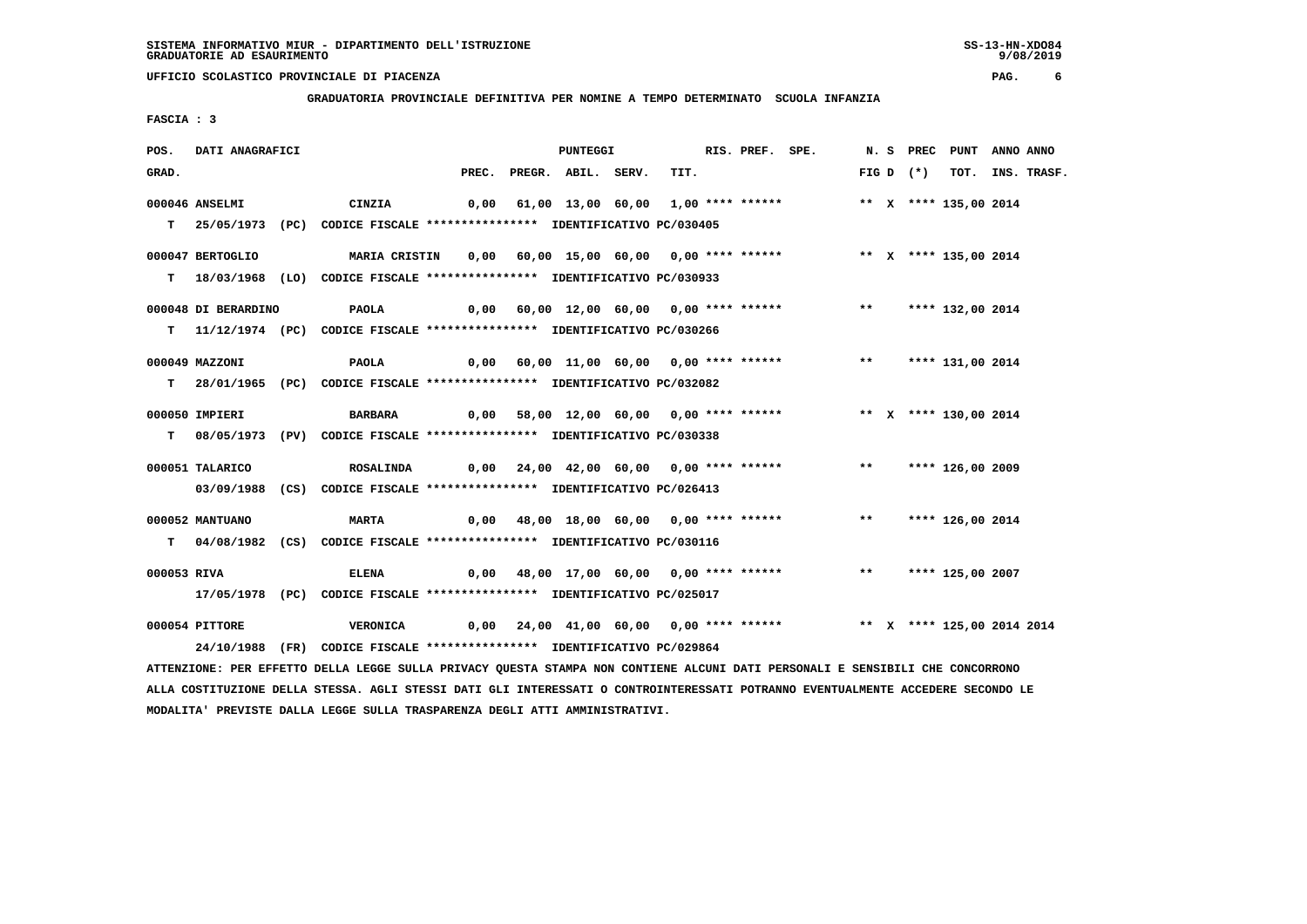**GRADUATORIA PROVINCIALE DEFINITIVA PER NOMINE A TEMPO DETERMINATO SCUOLA INFANZIA**

 **FASCIA : 3**

| POS.        | DATI ANAGRAFICI     |                                                                                                          |  | <b>PUNTEGGI</b>                         |  | RIS. PREF. SPE. |                                                                           |  |             | N. S PREC PUNT ANNO ANNO |                  |
|-------------|---------------------|----------------------------------------------------------------------------------------------------------|--|-----------------------------------------|--|-----------------|---------------------------------------------------------------------------|--|-------------|--------------------------|------------------|
| GRAD.       |                     |                                                                                                          |  | PREC. PREGR. ABIL. SERV.                |  | TIT.            |                                                                           |  | FIG D $(*)$ |                          | TOT. INS. TRASF. |
|             | 000046 ANSELMI      | CINZIA                                                                                                   |  |                                         |  |                 | 0,00 61,00 13,00 60,00 1,00 **** ******             ** x **** 135,00 2014 |  |             |                          |                  |
|             |                     | T 25/05/1973 (PC) CODICE FISCALE **************** IDENTIFICATIVO PC/030405                               |  |                                         |  |                 |                                                                           |  |             |                          |                  |
|             | 000047 BERTOGLIO    | MARIA CRISTIN 0,00 60,00 15,00 60,00 0,00 **** ****** *** ** ** X **** 135,00 2014                       |  |                                         |  |                 |                                                                           |  |             |                          |                  |
|             |                     | T 18/03/1968 (LO) CODICE FISCALE *************** IDENTIFICATIVO PC/030933                                |  |                                         |  |                 |                                                                           |  |             |                          |                  |
|             | 000048 DI BERARDINO |                                                                                                          |  |                                         |  |                 |                                                                           |  |             |                          |                  |
|             |                     | T                11/12/1974 (PC)                CODICE FISCALE **************** IDENTIFICATIVO PC/030266 |  |                                         |  |                 |                                                                           |  |             |                          |                  |
|             | 000049 MAZZONI      | <b>PAOLA</b>                                                                                             |  |                                         |  |                 | 0,00 60,00 11,00 60,00 0,00 **** ****** *** *** **** 131,00 2014          |  |             |                          |                  |
|             |                     | T 28/01/1965 (PC) CODICE FISCALE **************** IDENTIFICATIVO PC/032082                               |  |                                         |  |                 |                                                                           |  |             |                          |                  |
|             | 000050 IMPIERI      | <b>BARBARA</b>                                                                                           |  |                                         |  |                 | 0,00 58,00 12,00 60,00 0,00 **** ******      ** x **** 130,00 2014        |  |             |                          |                  |
|             |                     | T 08/05/1973 (PV) CODICE FISCALE *************** IDENTIFICATIVO PC/030338                                |  |                                         |  |                 |                                                                           |  |             |                          |                  |
|             | 000051 TALARICO     | <b>ROSALINDA</b>                                                                                         |  | 0,00 24,00 42,00 60,00 0,00 **** ****** |  |                 |                                                                           |  |             | ** **** 126,00 2009      |                  |
|             |                     | 03/09/1988 (CS) CODICE FISCALE *************** IDENTIFICATIVO PC/026413                                  |  |                                         |  |                 |                                                                           |  |             |                          |                  |
|             | 000052 MANTUANO     | <b>MARTA</b>                                                                                             |  |                                         |  |                 | 0,00 48,00 18,00 60,00 0,00 **** ****** *** **** 126,00 2014              |  |             |                          |                  |
|             |                     | T 04/08/1982 (CS) CODICE FISCALE **************** IDENTIFICATIVO PC/030116                               |  |                                         |  |                 |                                                                           |  |             |                          |                  |
| 000053 RIVA |                     | <b>ELENA</b>                                                                                             |  |                                         |  |                 | 0,00 48,00 17,00 60,00 0,00 **** ******      **   **** 125,00 2007        |  |             |                          |                  |
|             |                     | 17/05/1978 (PC) CODICE FISCALE *************** IDENTIFICATIVO PC/025017                                  |  |                                         |  |                 |                                                                           |  |             |                          |                  |
|             | 000054 PITTORE      | <b>VERONICA</b>                                                                                          |  |                                         |  |                 | 0,00 24,00 41,00 60,00 0,00 **** ****** *** ** ** **** 125,00 2014 2014   |  |             |                          |                  |
|             |                     | 24/10/1988 (FR) CODICE FISCALE *************** IDENTIFICATIVO PC/029864                                  |  |                                         |  |                 |                                                                           |  |             |                          |                  |

 **ATTENZIONE: PER EFFETTO DELLA LEGGE SULLA PRIVACY QUESTA STAMPA NON CONTIENE ALCUNI DATI PERSONALI E SENSIBILI CHE CONCORRONO ALLA COSTITUZIONE DELLA STESSA. AGLI STESSI DATI GLI INTERESSATI O CONTROINTERESSATI POTRANNO EVENTUALMENTE ACCEDERE SECONDO LE MODALITA' PREVISTE DALLA LEGGE SULLA TRASPARENZA DEGLI ATTI AMMINISTRATIVI.**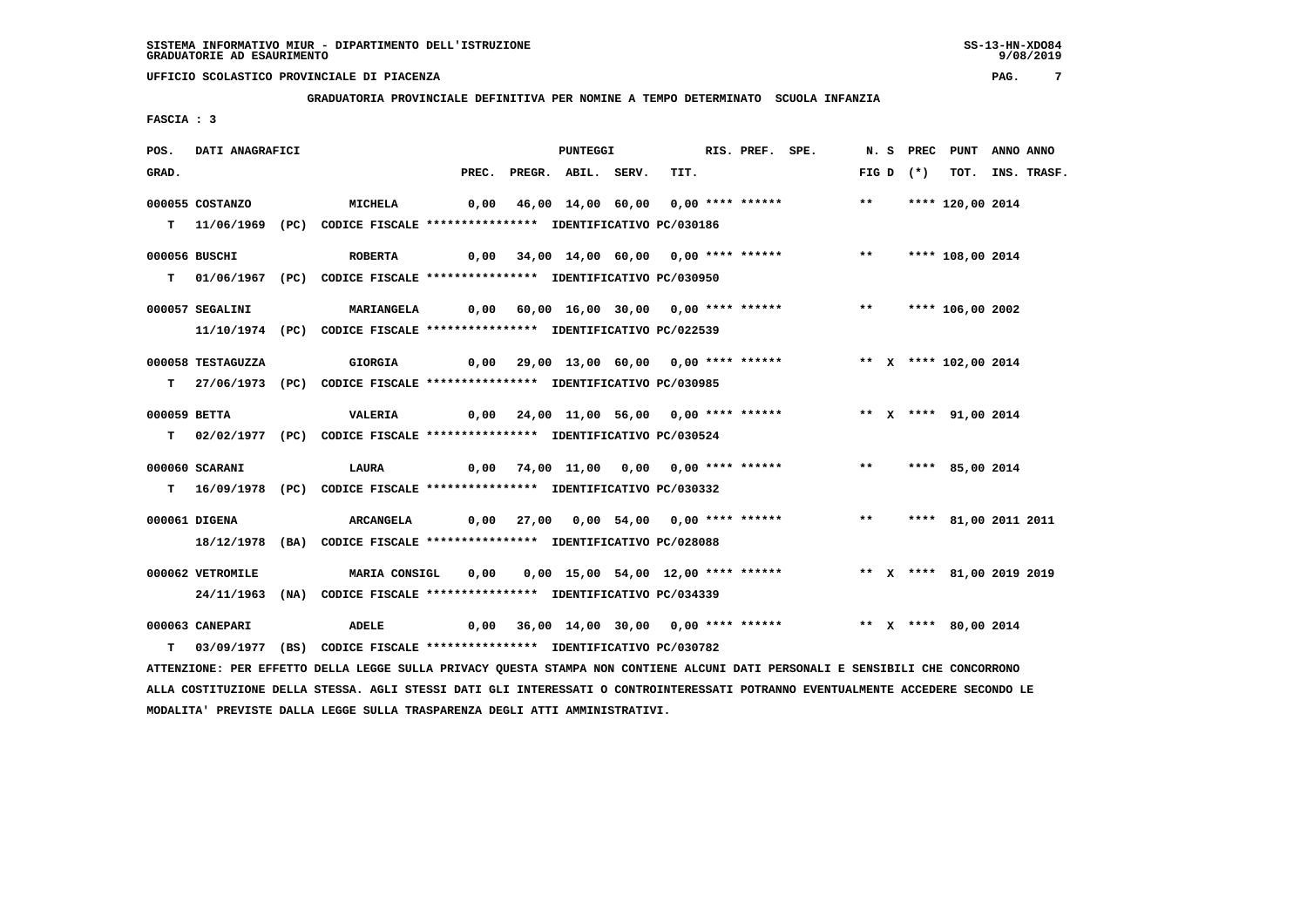**GRADUATORIA PROVINCIALE DEFINITIVA PER NOMINE A TEMPO DETERMINATO SCUOLA INFANZIA**

 **FASCIA : 3**

| POS.         | DATI ANAGRAFICI   |                                                                                                                               |       | <b>PUNTEGGI</b>    |                                                        | RIS. PREF. SPE. |                                                                     |              |             | N. S PREC PUNT ANNO ANNO |                  |
|--------------|-------------------|-------------------------------------------------------------------------------------------------------------------------------|-------|--------------------|--------------------------------------------------------|-----------------|---------------------------------------------------------------------|--------------|-------------|--------------------------|------------------|
| GRAD.        |                   |                                                                                                                               | PREC. | PREGR. ABIL. SERV. | TIT.                                                   |                 |                                                                     |              | FIG D $(*)$ |                          | TOT. INS. TRASF. |
|              | 000055 COSTANZO   | MICHELA                                                                                                                       |       |                    | 0,00 46,00 14,00 60,00 0,00 **** ******                |                 |                                                                     | $***$        |             | **** 120,00 2014         |                  |
|              |                   | T 11/06/1969 (PC) CODICE FISCALE *************** IDENTIFICATIVO PC/030186                                                     |       |                    |                                                        |                 |                                                                     |              |             |                          |                  |
|              |                   |                                                                                                                               |       |                    |                                                        |                 |                                                                     |              |             |                          |                  |
|              | 000056 BUSCHI     | <b>ROBERTA</b>                                                                                                                | 0,00  |                    |                                                        |                 | 34,00 14,00 60,00 0,00 **** ****** *** **                           |              |             | **** 108,00 2014         |                  |
|              |                   | T 01/06/1967 (PC) CODICE FISCALE *************** IDENTIFICATIVO PC/030950                                                     |       |                    |                                                        |                 |                                                                     |              |             |                          |                  |
|              |                   |                                                                                                                               |       |                    |                                                        |                 |                                                                     |              |             |                          |                  |
|              | 000057 SEGALINI   | <b>MARIANGELA</b>                                                                                                             |       |                    |                                                        |                 |                                                                     |              |             |                          |                  |
|              |                   | 11/10/1974 (PC) CODICE FISCALE *************** IDENTIFICATIVO PC/022539                                                       |       |                    |                                                        |                 |                                                                     |              |             |                          |                  |
|              | 000058 TESTAGUZZA | <b>GIORGIA</b>                                                                                                                |       |                    |                                                        |                 | 0,00 29,00 13,00 60,00 0,00 **** ****** **** *** **** 102,00 2014   |              |             |                          |                  |
|              |                   | T 27/06/1973 (PC) CODICE FISCALE **************** IDENTIFICATIVO PC/030985                                                    |       |                    |                                                        |                 |                                                                     |              |             |                          |                  |
|              |                   |                                                                                                                               |       |                    |                                                        |                 |                                                                     |              |             |                          |                  |
| 000059 BETTA |                   | VALERIA                                                                                                                       |       |                    |                                                        |                 | 0,00 24,00 11,00 56,00 0,00 **** ****** *** ** ** **** 91,00 2014   |              |             |                          |                  |
|              |                   | T 02/02/1977 (PC) CODICE FISCALE *************** IDENTIFICATIVO PC/030524                                                     |       |                    |                                                        |                 |                                                                     |              |             |                          |                  |
|              | 000060 SCARANI    | LAURA                                                                                                                         |       |                    | $0,00$ $74,00$ $11,00$ $0,00$ $0,00$ $***$ **** ****** |                 |                                                                     | $\star\star$ |             | **** 85,00 2014          |                  |
|              |                   |                                                                                                                               |       |                    |                                                        |                 |                                                                     |              |             |                          |                  |
|              |                   | T 16/09/1978 (PC) CODICE FISCALE **************** IDENTIFICATIVO PC/030332                                                    |       |                    |                                                        |                 |                                                                     |              |             |                          |                  |
|              | 000061 DIGENA     | ARCANGELA                                                                                                                     |       |                    |                                                        |                 | 0,00 27,00 0,00 54,00 0,00 **** ****** *** *** **** 81,00 2011 2011 |              |             |                          |                  |
|              | 18/12/1978        | (BA) CODICE FISCALE **************** IDENTIFICATIVO PC/028088                                                                 |       |                    |                                                        |                 |                                                                     |              |             |                          |                  |
|              |                   |                                                                                                                               |       |                    |                                                        |                 |                                                                     |              |             |                          |                  |
|              | 000062 VETROMILE  | MARIA CONSIGL                                                                                                                 | 0,00  |                    |                                                        |                 | 0,00 15,00 54,00 12,00 **** ****** * *** * **** 81,00 2019 2019     |              |             |                          |                  |
|              |                   | 24/11/1963 (NA) CODICE FISCALE *************** IDENTIFICATIVO PC/034339                                                       |       |                    |                                                        |                 |                                                                     |              |             |                          |                  |
|              | 000063 CANEPARI   | <b>ADELE</b>                                                                                                                  |       |                    | $0,00$ 36,00 14,00 30,00 0,00 **** ******              |                 |                                                                     |              |             | ** X **** 80,00 2014     |                  |
| T.           |                   | 03/09/1977 (BS) CODICE FISCALE *************** IDENTIFICATIVO PC/030782                                                       |       |                    |                                                        |                 |                                                                     |              |             |                          |                  |
|              |                   | ATTENZIONE: PER EFFETTO DELLA LEGGE SULLA PRIVACY QUESTA STAMPA NON CONTIENE ALCUNI DATI PERSONALI E SENSIBILI CHE CONCORRONO |       |                    |                                                        |                 |                                                                     |              |             |                          |                  |
|              |                   |                                                                                                                               |       |                    |                                                        |                 |                                                                     |              |             |                          |                  |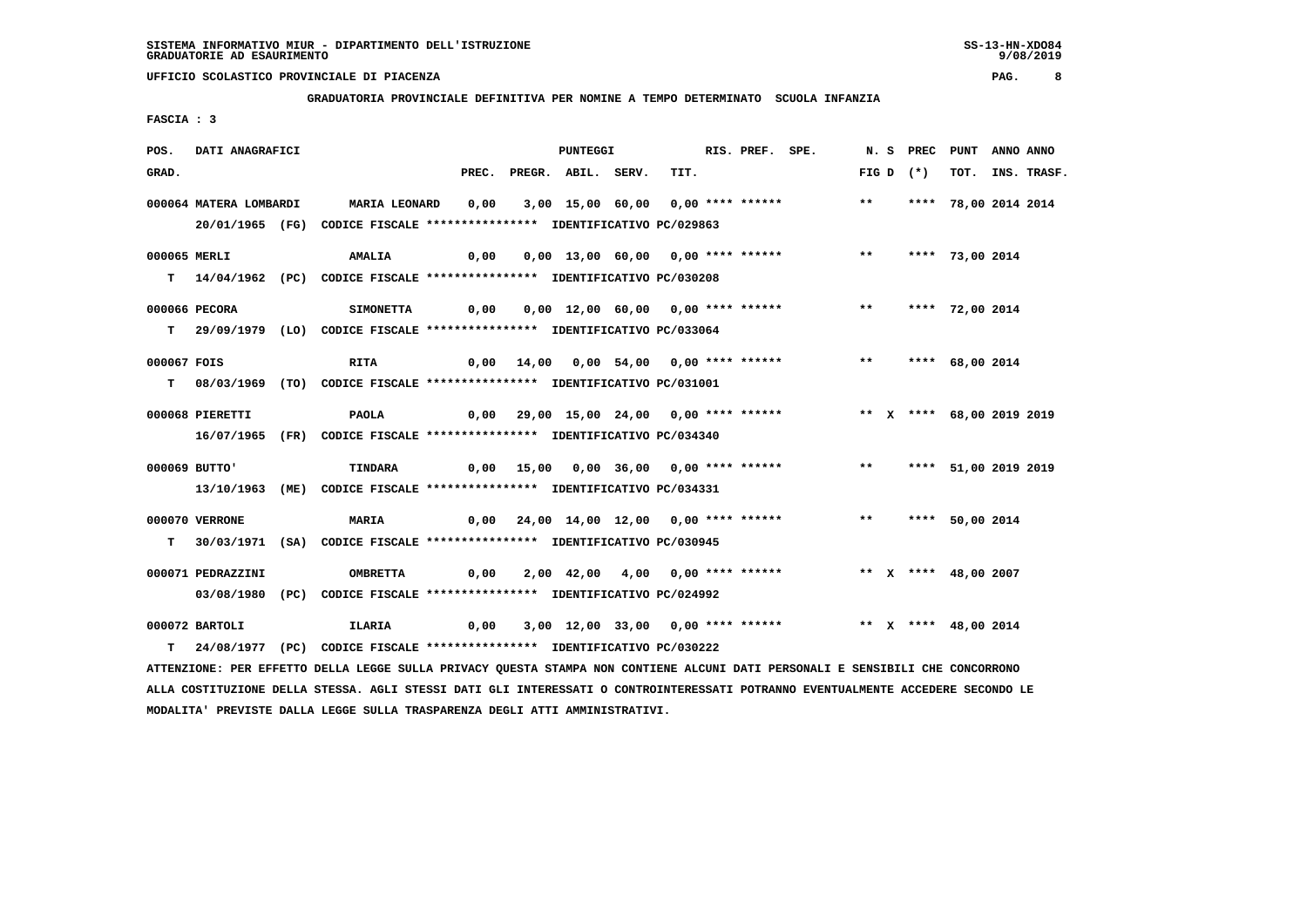**GRADUATORIA PROVINCIALE DEFINITIVA PER NOMINE A TEMPO DETERMINATO SCUOLA INFANZIA**

 **FASCIA : 3**

| POS.         | DATI ANAGRAFICI        |                                                                                                                               |      | <b>PUNTEGGI</b>          |                                                                           | RIS. PREF. SPE. |  |             | N. S PREC PUNT ANNO ANNO |                  |
|--------------|------------------------|-------------------------------------------------------------------------------------------------------------------------------|------|--------------------------|---------------------------------------------------------------------------|-----------------|--|-------------|--------------------------|------------------|
| GRAD.        |                        |                                                                                                                               |      | PREC. PREGR. ABIL. SERV. | TIT.                                                                      |                 |  | FIG D $(*)$ |                          | TOT. INS. TRASF. |
|              | 000064 MATERA LOMBARDI | <b>MARIA LEONARD</b>                                                                                                          |      |                          | 0,00 3,00 15,00 60,00 0,00 **** ****** *** **                             |                 |  |             | **** 78,00 2014 2014     |                  |
|              |                        |                                                                                                                               |      |                          |                                                                           |                 |  |             |                          |                  |
|              |                        | 20/01/1965 (FG) CODICE FISCALE *************** IDENTIFICATIVO PC/029863                                                       |      |                          |                                                                           |                 |  |             |                          |                  |
| 000065 MERLI |                        | <b>AMALIA</b>                                                                                                                 |      |                          | 0,00  0,00 13,00 60,00  0,00 **** ******      **   **** 73,00 2014        |                 |  |             |                          |                  |
|              |                        | T 14/04/1962 (PC) CODICE FISCALE *************** IDENTIFICATIVO PC/030208                                                     |      |                          |                                                                           |                 |  |             |                          |                  |
|              |                        |                                                                                                                               |      |                          |                                                                           |                 |  |             |                          |                  |
|              | 000066 PECORA          | <b>SIMONETTA</b>                                                                                                              | 0,00 |                          | 0,00 12,00 60,00 0,00 **** ****** *** **                                  |                 |  |             | **** 72,00 2014          |                  |
|              |                        | T 29/09/1979 (LO) CODICE FISCALE *************** IDENTIFICATIVO PC/033064                                                     |      |                          |                                                                           |                 |  |             |                          |                  |
| 000067 FOIS  |                        | <b>RITA</b>                                                                                                                   |      |                          | 0,00 14,00 0,00 54,00 0,00 **** ******             **     **** 68,00 2014 |                 |  |             |                          |                  |
|              |                        | T 08/03/1969 (TO) CODICE FISCALE **************** IDENTIFICATIVO PC/031001                                                    |      |                          |                                                                           |                 |  |             |                          |                  |
|              |                        |                                                                                                                               |      |                          |                                                                           |                 |  |             |                          |                  |
|              | 000068 PIERETTI        | PAOLA                                                                                                                         |      |                          | 0,00 29,00 15,00 24,00 0,00 **** ****** **** *** ** **** 68,00 2019 2019  |                 |  |             |                          |                  |
|              |                        | 16/07/1965 (FR) CODICE FISCALE *************** IDENTIFICATIVO PC/034340                                                       |      |                          |                                                                           |                 |  |             |                          |                  |
|              | 000069 BUTTO'          |                                                                                                                               |      |                          |                                                                           |                 |  |             |                          |                  |
|              |                        | TINDARA                                                                                                                       |      |                          | 0,00 15,00 0,00 36,00 0,00 **** ****** *** **** 51,00 2019 2019           |                 |  |             |                          |                  |
|              |                        | 13/10/1963 (ME) CODICE FISCALE *************** IDENTIFICATIVO PC/034331                                                       |      |                          |                                                                           |                 |  |             |                          |                  |
|              | 000070 VERRONE         | <b>MARIA</b>                                                                                                                  |      |                          | 0,00 24,00 14,00 12,00 0,00 **** ****** *** **** 50,00 2014               |                 |  |             |                          |                  |
|              |                        | T 30/03/1971 (SA) CODICE FISCALE **************** IDENTIFICATIVO PC/030945                                                    |      |                          |                                                                           |                 |  |             |                          |                  |
|              |                        |                                                                                                                               |      |                          |                                                                           |                 |  |             |                          |                  |
|              | 000071 PEDRAZZINI      | <b>OMBRETTA</b>                                                                                                               |      |                          | $0,00$ $2,00$ $42,00$ $4,00$ $0,00$ **** ******                           |                 |  |             | ** X **** 48,00 2007     |                  |
|              |                        | 03/08/1980 (PC) CODICE FISCALE *************** IDENTIFICATIVO PC/024992                                                       |      |                          |                                                                           |                 |  |             |                          |                  |
|              | 000072 BARTOLI         | ILARIA 6,00 3,00 12,00 33,00 0,00 **** ****** *** ** ** *** 48,00 2014                                                        |      |                          |                                                                           |                 |  |             |                          |                  |
|              |                        | T 24/08/1977 (PC) CODICE FISCALE *************** IDENTIFICATIVO PC/030222                                                     |      |                          |                                                                           |                 |  |             |                          |                  |
|              |                        | ATTENZIONE: PER EFFETTO DELLA LEGGE SULLA PRIVACY QUESTA STAMPA NON CONTIENE ALCUNI DATI PERSONALI E SENSIBILI CHE CONCORRONO |      |                          |                                                                           |                 |  |             |                          |                  |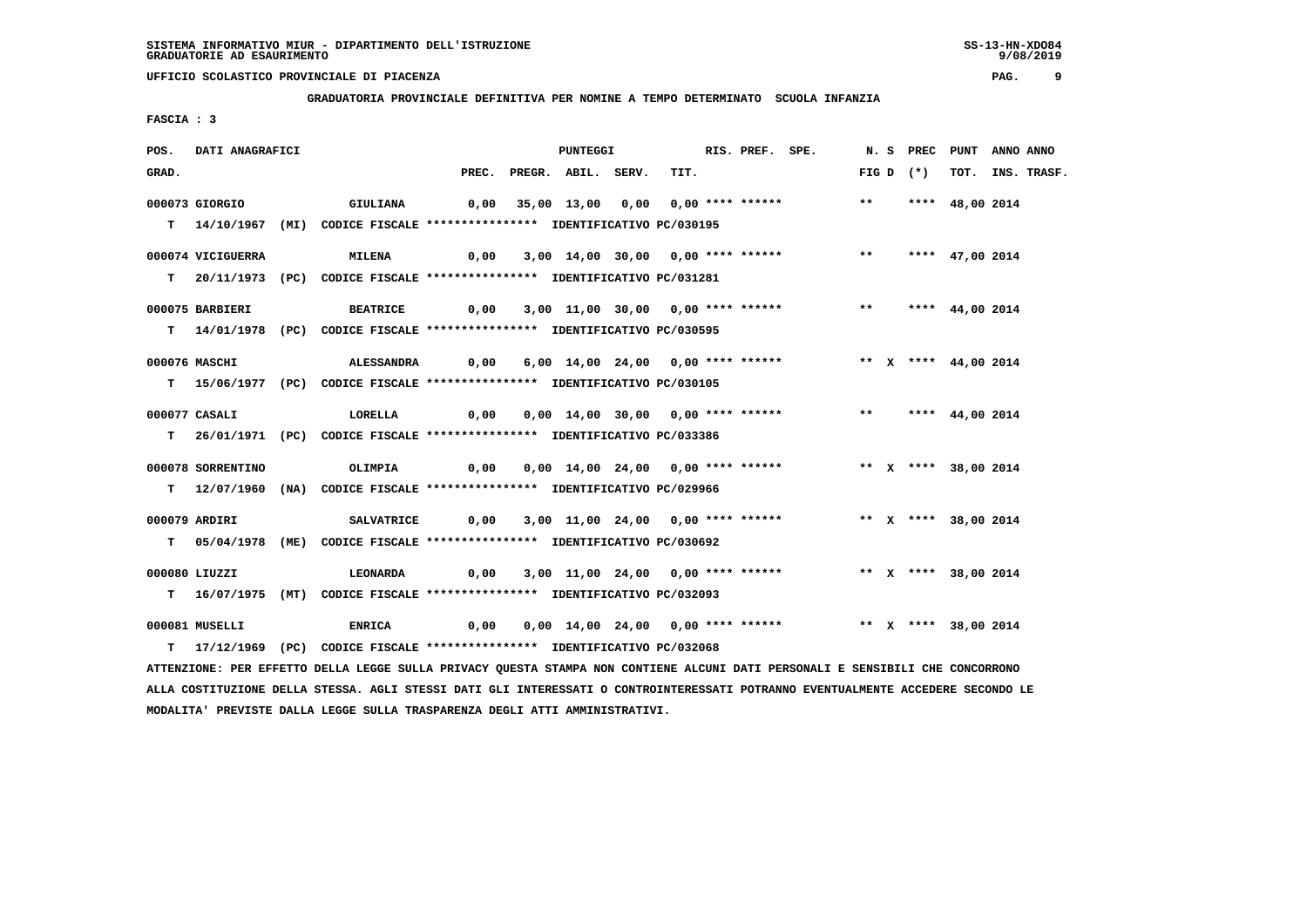**GRADUATORIA PROVINCIALE DEFINITIVA PER NOMINE A TEMPO DETERMINATO SCUOLA INFANZIA**

 **FASCIA : 3**

| POS.  | DATI ANAGRAFICI   |                                                                                                                               |                                                                                      | <b>PUNTEGGI</b>          |                                                                | RIS. PREF. SPE. |  |             | N. S PREC PUNT ANNO ANNO |                  |
|-------|-------------------|-------------------------------------------------------------------------------------------------------------------------------|--------------------------------------------------------------------------------------|--------------------------|----------------------------------------------------------------|-----------------|--|-------------|--------------------------|------------------|
| GRAD. |                   |                                                                                                                               |                                                                                      | PREC. PREGR. ABIL. SERV. | TIT.                                                           |                 |  | FIG D $(*)$ |                          | TOT. INS. TRASF. |
|       | 000073 GIORGIO    | <b>GIULIANA</b>                                                                                                               |                                                                                      |                          | 0,00 35,00 13,00 0,00 0,00 **** ****** *** *** **** 48,00 2014 |                 |  |             |                          |                  |
|       |                   | T 14/10/1967 (MI) CODICE FISCALE *************** IDENTIFICATIVO PC/030195                                                     |                                                                                      |                          |                                                                |                 |  |             |                          |                  |
|       |                   |                                                                                                                               |                                                                                      |                          |                                                                |                 |  |             |                          |                  |
|       | 000074 VICIGUERRA | <b>MILENA</b>                                                                                                                 | 0,00 3,00 14,00 30,00 0,00 **** ******               **       **** 47,00 2014        |                          |                                                                |                 |  |             |                          |                  |
|       |                   | T 20/11/1973 (PC) CODICE FISCALE *************** IDENTIFICATIVO PC/031281                                                     |                                                                                      |                          |                                                                |                 |  |             |                          |                  |
|       | 000075 BARBIERI   | <b>BEATRICE</b>                                                                                                               | 0,00 3,00 11,00 30,00 0,00 **** ******           **     **** 44,00 2014              |                          |                                                                |                 |  |             |                          |                  |
|       |                   |                                                                                                                               |                                                                                      |                          |                                                                |                 |  |             |                          |                  |
|       |                   | T 14/01/1978 (PC) CODICE FISCALE *************** IDENTIFICATIVO PC/030595                                                     |                                                                                      |                          |                                                                |                 |  |             |                          |                  |
|       | 000076 MASCHI     | ALESSANDRA                                                                                                                    |                                                                                      |                          |                                                                |                 |  |             |                          |                  |
|       |                   | T 15/06/1977 (PC) CODICE FISCALE *************** IDENTIFICATIVO PC/030105                                                     |                                                                                      |                          |                                                                |                 |  |             |                          |                  |
|       |                   |                                                                                                                               |                                                                                      |                          |                                                                |                 |  |             |                          |                  |
|       | 000077 CASALI     | LORELLA 0,00 0,00 14,00 30,00 0,00 **** ****** *** *** **** 44,00 2014                                                        |                                                                                      |                          |                                                                |                 |  |             |                          |                  |
|       |                   | T 26/01/1971 (PC) CODICE FISCALE **************** IDENTIFICATIVO PC/033386                                                    |                                                                                      |                          |                                                                |                 |  |             |                          |                  |
|       | 000078 SORRENTINO | OLIMPIA                                                                                                                       | 0,00  0,00  14,00  24,00  0,00  ****  ******            **     x ****    38,00  2014 |                          |                                                                |                 |  |             |                          |                  |
|       |                   | T 12/07/1960 (NA) CODICE FISCALE *************** IDENTIFICATIVO PC/029966                                                     |                                                                                      |                          |                                                                |                 |  |             |                          |                  |
|       |                   |                                                                                                                               |                                                                                      |                          |                                                                |                 |  |             |                          |                  |
|       | 000079 ARDIRI     | <b>SALVATRICE</b>                                                                                                             | 0,00 3,00 11,00 24,00 0,00 **** ******             ** x **** 38,00 2014              |                          |                                                                |                 |  |             |                          |                  |
|       |                   | T 05/04/1978 (ME) CODICE FISCALE *************** IDENTIFICATIVO PC/030692                                                     |                                                                                      |                          |                                                                |                 |  |             |                          |                  |
|       | 000080 LIUZZI     | <b>LEONARDA</b>                                                                                                               |                                                                                      |                          | 0,00 3,00 11,00 24,00 0,00 **** ****** * *** * **** 38,00 2014 |                 |  |             |                          |                  |
|       |                   |                                                                                                                               |                                                                                      |                          |                                                                |                 |  |             |                          |                  |
|       |                   | T 16/07/1975 (MT) CODICE FISCALE *************** IDENTIFICATIVO PC/032093                                                     |                                                                                      |                          |                                                                |                 |  |             |                          |                  |
|       | 000081 MUSELLI    | ENRICA 6,00 0,00 14,00 24,00 0,00 **** ****** *** ** *** 38,00 2014                                                           |                                                                                      |                          |                                                                |                 |  |             |                          |                  |
|       |                   | T 17/12/1969 (PC) CODICE FISCALE *************** IDENTIFICATIVO PC/032068                                                     |                                                                                      |                          |                                                                |                 |  |             |                          |                  |
|       |                   | ATTENZIONE: PER EFFETTO DELLA LEGGE SULLA PRIVACY QUESTA STAMPA NON CONTIENE ALCUNI DATI PERSONALI E SENSIBILI CHE CONCORRONO |                                                                                      |                          |                                                                |                 |  |             |                          |                  |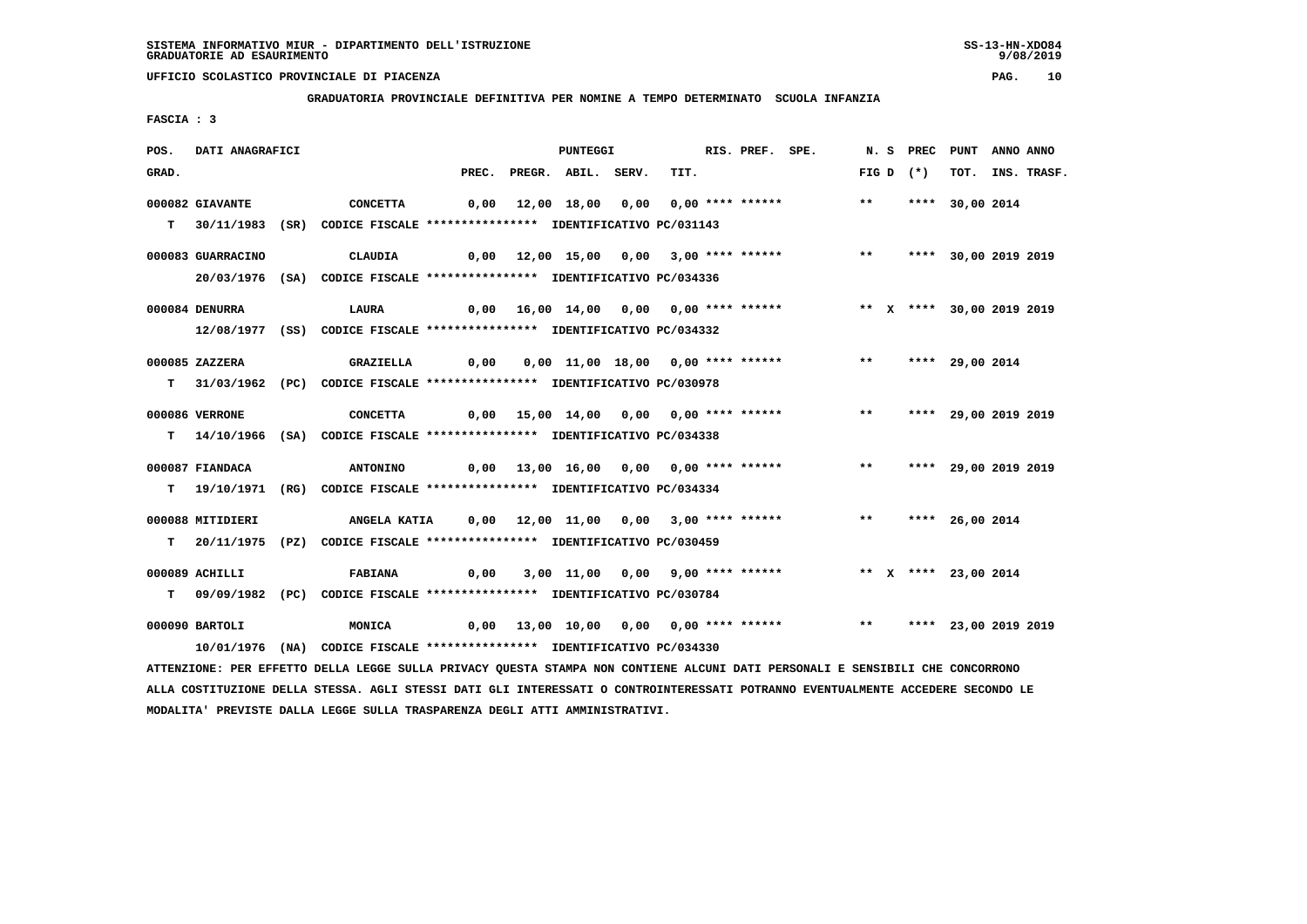**MODALITA' PREVISTE DALLA LEGGE SULLA TRASPARENZA DEGLI ATTI AMMINISTRATIVI.**

# **UFFICIO SCOLASTICO PROVINCIALE DI PIACENZA PAG. 10**

 **GRADUATORIA PROVINCIALE DEFINITIVA PER NOMINE A TEMPO DETERMINATO SCUOLA INFANZIA**

 **FASCIA : 3**

| POS.  | DATI ANAGRAFICI   |                                                                                                                                 |       | <b>PUNTEGGI</b>                          |      | RIS. PREF. SPE. |                                                          |       | N.S PREC    | PUNT                      | ANNO ANNO |             |
|-------|-------------------|---------------------------------------------------------------------------------------------------------------------------------|-------|------------------------------------------|------|-----------------|----------------------------------------------------------|-------|-------------|---------------------------|-----------|-------------|
| GRAD. |                   |                                                                                                                                 | PREC. | PREGR. ABIL. SERV.                       | TIT. |                 |                                                          |       | FIG D $(*)$ | тот.                      |           | INS. TRASF. |
|       | 000082 GIAVANTE   | <b>CONCETTA</b>                                                                                                                 | 0,00  | 12,00 18,00 0,00 0,00 **** ******        |      |                 |                                                          | $***$ |             | **** 30,00 2014           |           |             |
|       |                   |                                                                                                                                 |       |                                          |      |                 |                                                          |       |             |                           |           |             |
|       |                   | T 30/11/1983 (SR) CODICE FISCALE *************** IDENTIFICATIVO PC/031143                                                       |       |                                          |      |                 |                                                          |       |             |                           |           |             |
|       | 000083 GUARRACINO | CLAUDIA                                                                                                                         |       | 0,00 12,00 15,00 0,00 3,00 **** ******   |      |                 |                                                          | $***$ |             | **** 30,00 2019 2019      |           |             |
|       |                   | 20/03/1976 (SA) CODICE FISCALE *************** IDENTIFICATIVO PC/034336                                                         |       |                                          |      |                 |                                                          |       |             |                           |           |             |
|       |                   |                                                                                                                                 |       |                                          |      |                 |                                                          |       |             |                           |           |             |
|       | 000084 DENURRA    | LAURA                                                                                                                           |       | $0,00$ 16,00 14,00 0,00 0,00 **** ****** |      |                 |                                                          |       |             | ** X **** 30,00 2019 2019 |           |             |
|       |                   | 12/08/1977 (SS) CODICE FISCALE **************** IDENTIFICATIVO PC/034332                                                        |       |                                          |      |                 |                                                          |       |             |                           |           |             |
|       | 000085 ZAZZERA    | GRAZIELLA                                                                                                                       | 0,00  | 0,00 11,00 18,00 0,00 **** ******        |      |                 |                                                          | $***$ |             | **** 29,00 2014           |           |             |
|       |                   |                                                                                                                                 |       |                                          |      |                 |                                                          |       |             |                           |           |             |
|       |                   | T 31/03/1962 (PC) CODICE FISCALE **************** IDENTIFICATIVO PC/030978                                                      |       |                                          |      |                 |                                                          |       |             |                           |           |             |
|       | 000086 VERRONE    | <b>CONCETTA</b>                                                                                                                 |       | 0,00 15,00 14,00 0,00 0,00 **** ******   |      |                 |                                                          | $***$ |             | **** 29,00 2019 2019      |           |             |
|       |                   | T 14/10/1966 (SA) CODICE FISCALE **************** IDENTIFICATIVO PC/034338                                                      |       |                                          |      |                 |                                                          |       |             |                           |           |             |
|       |                   |                                                                                                                                 |       |                                          |      |                 |                                                          |       |             |                           |           |             |
|       | 000087 FIANDACA   | <b>ANTONINO</b>                                                                                                                 |       | 0,00 13,00 16,00 0,00 0,00 **** ******   |      |                 |                                                          | $***$ |             | **** 29,00 2019 2019      |           |             |
|       |                   | T 19/10/1971 (RG) CODICE FISCALE **************** IDENTIFICATIVO PC/034334                                                      |       |                                          |      |                 |                                                          |       |             |                           |           |             |
|       | 000088 MITIDIERI  | <b>ANGELA KATIA</b>                                                                                                             |       | 0,00 12,00 11,00 0,00 3,00 **** ******   |      |                 |                                                          | $***$ |             | **** 26,00 2014           |           |             |
|       |                   |                                                                                                                                 |       |                                          |      |                 |                                                          |       |             |                           |           |             |
|       |                   | T 20/11/1975 (PZ) CODICE FISCALE *************** IDENTIFICATIVO PC/030459                                                       |       |                                          |      |                 |                                                          |       |             |                           |           |             |
|       | 000089 ACHILLI    | <b>FABIANA</b>                                                                                                                  | 0,00  |                                          |      |                 | 3,00 11,00 0,00 9,00 **** ****** * *** * **** 23,00 2014 |       |             |                           |           |             |
| T.    |                   | 09/09/1982 (PC) CODICE FISCALE *************** IDENTIFICATIVO PC/030784                                                         |       |                                          |      |                 |                                                          |       |             |                           |           |             |
|       |                   |                                                                                                                                 |       |                                          |      |                 |                                                          |       |             |                           |           |             |
|       | 000090 BARTOLI    | MONICA                                                                                                                          |       |                                          |      |                 | $0,00$ 13,00 10,00 0,00 0,00 **** ******                 | $***$ |             | **** 23,00 2019 2019      |           |             |
|       |                   | 10/01/1976 (NA) CODICE FISCALE *************** IDENTIFICATIVO PC/034330                                                         |       |                                          |      |                 |                                                          |       |             |                           |           |             |
|       |                   | ATTENZIONE: PER EFFETTO DELLA LEGGE SULLA PRIVACY QUESTA STAMPA NON CONTIENE ALCUNI DATI PERSONALI E SENSIBILI CHE CONCORRONO   |       |                                          |      |                 |                                                          |       |             |                           |           |             |
|       |                   | ALLA COSTITUZIONE DELLA STESSA. AGLI STESSI DATI GLI INTERESSATI O CONTROINTERESSATI POTRANNO EVENTUALMENTE ACCEDERE SECONDO LE |       |                                          |      |                 |                                                          |       |             |                           |           |             |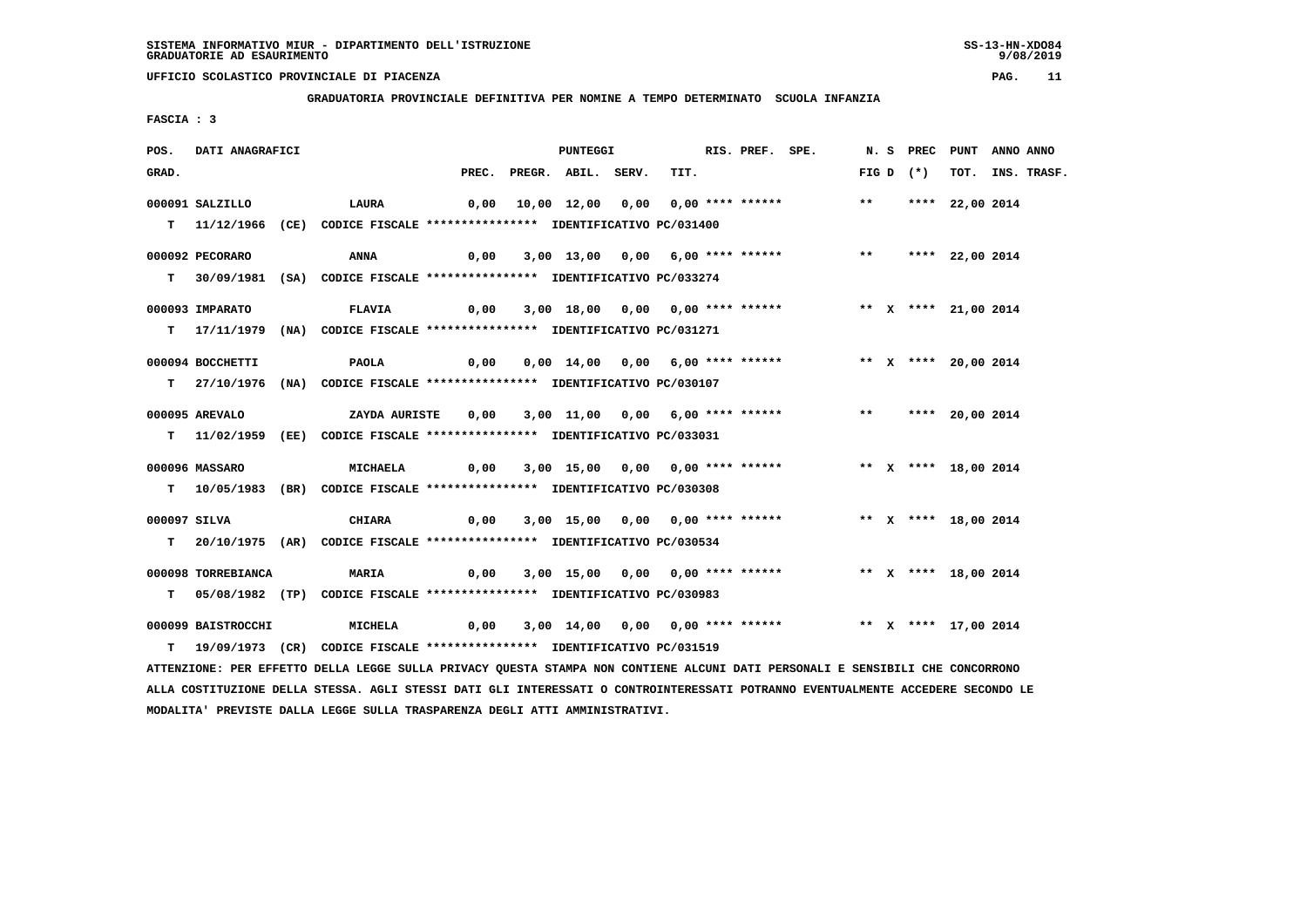**GRADUATORIA PROVINCIALE DEFINITIVA PER NOMINE A TEMPO DETERMINATO SCUOLA INFANZIA**

 **FASCIA : 3**

| POS.         | DATI ANAGRAFICI    |                                                                                                                               |      | PUNTEGGI                 |                                                                       | RIS. PREF. SPE. |       |             | N. S PREC PUNT ANNO ANNO |                  |
|--------------|--------------------|-------------------------------------------------------------------------------------------------------------------------------|------|--------------------------|-----------------------------------------------------------------------|-----------------|-------|-------------|--------------------------|------------------|
| GRAD.        |                    |                                                                                                                               |      | PREC. PREGR. ABIL. SERV. | TIT.                                                                  |                 |       | FIG D $(*)$ |                          | TOT. INS. TRASF. |
|              | $000091$ SALZILLO  | LAURA                                                                                                                         |      |                          |                                                                       |                 | $***$ |             | **** 22,00 2014          |                  |
|              |                    | T 11/12/1966 (CE) CODICE FISCALE **************** IDENTIFICATIVO PC/031400                                                    |      |                          |                                                                       |                 |       |             |                          |                  |
|              | 000092 PECORARO    | ANNA                                                                                                                          | 0,00 |                          | 3,00 13,00 0,00 6,00 **** ****** *** *** **** 22,00 2014              |                 |       |             |                          |                  |
|              |                    | T 30/09/1981 (SA) CODICE FISCALE *************** IDENTIFICATIVO PC/033274                                                     |      |                          |                                                                       |                 |       |             |                          |                  |
|              |                    |                                                                                                                               |      |                          |                                                                       |                 |       |             |                          |                  |
|              | 000093 IMPARATO    | <b>FLAVIA</b>                                                                                                                 | 0,00 |                          | 3,00 18,00 0,00 0,00 **** ****** *** ** ** **** 21,00 2014            |                 |       |             |                          |                  |
|              |                    | T 17/11/1979 (NA) CODICE FISCALE *************** IDENTIFICATIVO PC/031271                                                     |      |                          |                                                                       |                 |       |             |                          |                  |
|              | 000094 BOCCHETTI   | PAOLA                                                                                                                         | 0,00 |                          | 0,00 14,00 0,00 6,00 **** ******                                      |                 |       |             | ** X **** 20,00 2014     |                  |
|              |                    | T 27/10/1976 (NA) CODICE FISCALE *************** IDENTIFICATIVO PC/030107                                                     |      |                          |                                                                       |                 |       |             |                          |                  |
|              | 000095 AREVALO     | ZAYDA AURISTE                                                                                                                 | 0,00 |                          | 3,00 11,00 0,00 6,00 **** ******             **       **** 20,00 2014 |                 |       |             |                          |                  |
|              |                    | T 11/02/1959 (EE) CODICE FISCALE *************** IDENTIFICATIVO PC/033031                                                     |      |                          |                                                                       |                 |       |             |                          |                  |
|              |                    |                                                                                                                               |      |                          |                                                                       |                 |       |             |                          |                  |
|              | 000096 MASSARO     | <b>MICHAELA</b>                                                                                                               | 0,00 |                          | 3,00 15,00 0,00 0,00 **** ****** * *** X **** 18,00 2014              |                 |       |             |                          |                  |
|              |                    | T                 10/05/1983 (BR)                     CODICE FISCALE **************** IDENTIFICATIVO PC/030308                |      |                          |                                                                       |                 |       |             |                          |                  |
| 000097 SILVA |                    | <b>CHIARA</b>                                                                                                                 | 0,00 |                          | 3,00 15,00 0,00 0,00 **** ******                                      |                 |       |             | ** X **** 18,00 2014     |                  |
|              |                    | T 20/10/1975 (AR) CODICE FISCALE **************** IDENTIFICATIVO PC/030534                                                    |      |                          |                                                                       |                 |       |             |                          |                  |
|              |                    |                                                                                                                               |      |                          |                                                                       |                 |       |             |                          |                  |
|              | 000098 TORREBIANCA | <b>MARIA</b>                                                                                                                  | 0,00 |                          | 3,00 15,00 0,00 0,00 **** ******             ** x **** 18,00 2014     |                 |       |             |                          |                  |
|              |                    | T 05/08/1982 (TP) CODICE FISCALE *************** IDENTIFICATIVO PC/030983                                                     |      |                          |                                                                       |                 |       |             |                          |                  |
|              | 000099 BAISTROCCHI | <b>MICHELA</b>                                                                                                                | 0,00 |                          | 3,00 14,00 0,00 0,00 **** ****** *** ** ** **** 17,00 2014            |                 |       |             |                          |                  |
|              |                    | T 19/09/1973 (CR) CODICE FISCALE **************** IDENTIFICATIVO PC/031519                                                    |      |                          |                                                                       |                 |       |             |                          |                  |
|              |                    | ATTENZIONE: PER EFFETTO DELLA LEGGE SULLA PRIVACY QUESTA STAMPA NON CONTIENE ALCUNI DATI PERSONALI E SENSIBILI CHE CONCORRONO |      |                          |                                                                       |                 |       |             |                          |                  |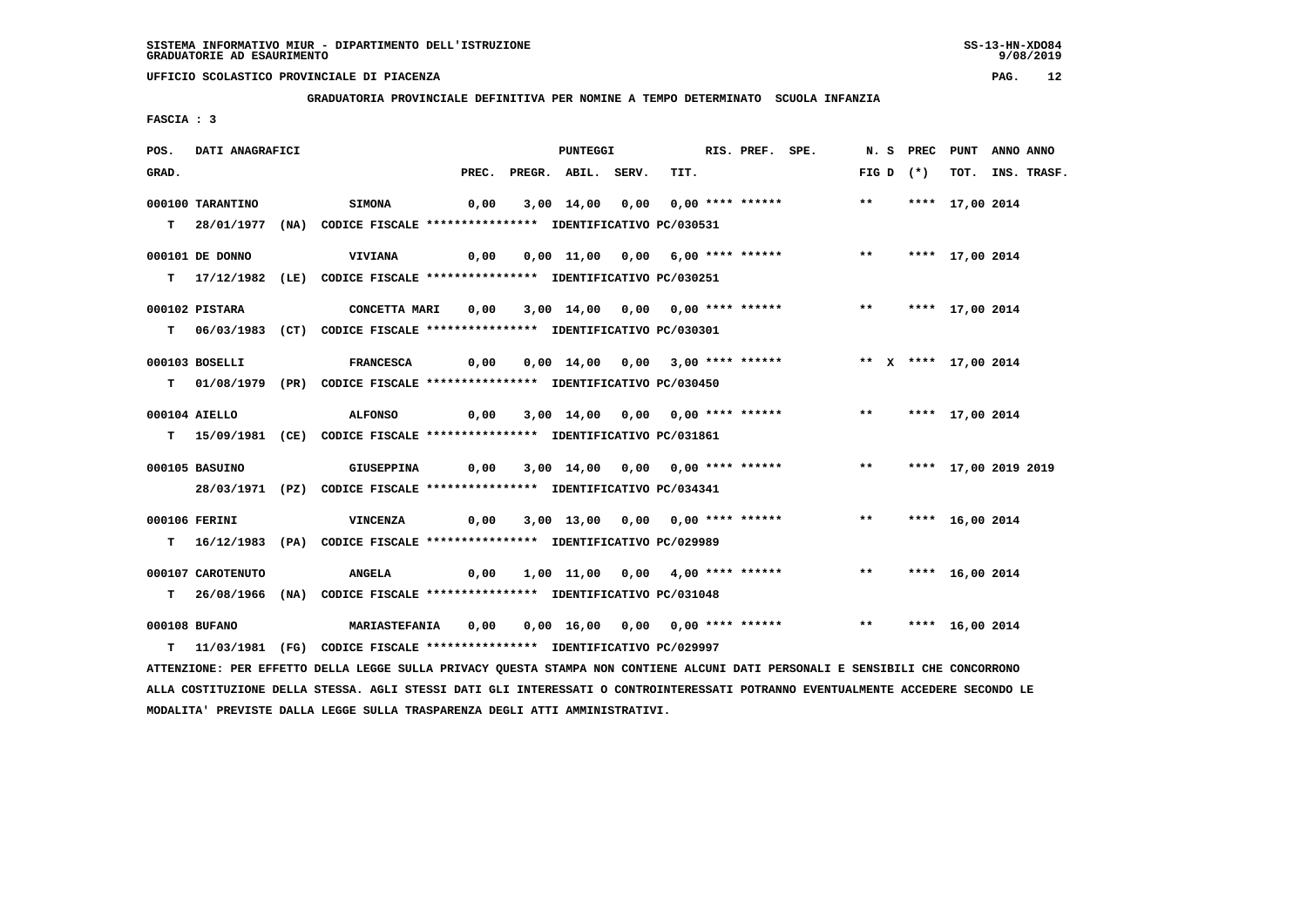**GRADUATORIA PROVINCIALE DEFINITIVA PER NOMINE A TEMPO DETERMINATO SCUOLA INFANZIA**

 **FASCIA : 3**

| POS.  | DATI ANAGRAFICI   |                                                                                                                               |                          | <b>PUNTEGGI</b> |      | RIS. PREF. SPE. |                                                               |  |             | N. S PREC PUNT ANNO ANNO |                  |
|-------|-------------------|-------------------------------------------------------------------------------------------------------------------------------|--------------------------|-----------------|------|-----------------|---------------------------------------------------------------|--|-------------|--------------------------|------------------|
| GRAD. |                   |                                                                                                                               | PREC. PREGR. ABIL. SERV. |                 | TIT. |                 |                                                               |  | FIG D $(*)$ |                          | TOT. INS. TRASF. |
|       | 000100 TARANTINO  | <b>SIMONA</b>                                                                                                                 |                          |                 |      |                 | 0,00 3,00 14,00 0,00 0,00 **** ****** *** **** 17,00 2014     |  |             |                          |                  |
|       |                   |                                                                                                                               |                          |                 |      |                 |                                                               |  |             |                          |                  |
|       |                   | T 28/01/1977 (NA) CODICE FISCALE **************** IDENTIFICATIVO PC/030531                                                    |                          |                 |      |                 |                                                               |  |             |                          |                  |
|       | 000101 DE DONNO   | <b>VIVIANA</b>                                                                                                                |                          |                 |      |                 |                                                               |  |             |                          |                  |
|       |                   | T 17/12/1982 (LE) CODICE FISCALE *************** IDENTIFICATIVO PC/030251                                                     |                          |                 |      |                 |                                                               |  |             |                          |                  |
|       |                   |                                                                                                                               |                          |                 |      |                 |                                                               |  |             |                          |                  |
|       | 000102 PISTARA    | CONCETTA MARI 0,00 3,00 14,00 0,00 0,00 **** ****** *** *** **** 17,00 2014                                                   |                          |                 |      |                 |                                                               |  |             |                          |                  |
|       |                   | T 06/03/1983 (CT) CODICE FISCALE *************** IDENTIFICATIVO PC/030301                                                     |                          |                 |      |                 |                                                               |  |             |                          |                  |
|       |                   |                                                                                                                               |                          |                 |      |                 |                                                               |  |             |                          |                  |
|       | 000103 BOSELLI    | FRANCESCA 0,00 0,00 14,00 0,00 3,00 **** ****** *** ** ** **** 17,00 2014                                                     |                          |                 |      |                 |                                                               |  |             |                          |                  |
|       |                   | T 01/08/1979 (PR) CODICE FISCALE *************** IDENTIFICATIVO PC/030450                                                     |                          |                 |      |                 |                                                               |  |             |                          |                  |
|       |                   |                                                                                                                               |                          |                 |      |                 |                                                               |  |             |                          |                  |
|       | 000104 AIELLO     | <b>ALFONSO</b>                                                                                                                |                          |                 |      |                 | 0,00 3,00 14,00 0,00 0,00 **** ****** *** *** **** 17,00 2014 |  |             |                          |                  |
|       |                   | T 15/09/1981 (CE) CODICE FISCALE *************** IDENTIFICATIVO PC/031861                                                     |                          |                 |      |                 |                                                               |  |             |                          |                  |
|       | 000105 BASUINO    |                                                                                                                               |                          |                 |      |                 |                                                               |  |             |                          |                  |
|       |                   |                                                                                                                               |                          |                 |      |                 |                                                               |  |             |                          |                  |
|       |                   | 28/03/1971 (PZ) CODICE FISCALE *************** IDENTIFICATIVO PC/034341                                                       |                          |                 |      |                 |                                                               |  |             |                          |                  |
|       | 000106 FERINI     | VINCENZA                                                                                                                      |                          |                 |      |                 | 0,00 3,00 13,00 0,00 0,00 **** ******             **          |  |             | **** 16,00 2014          |                  |
|       |                   | T 16/12/1983 (PA) CODICE FISCALE **************** IDENTIFICATIVO PC/029989                                                    |                          |                 |      |                 |                                                               |  |             |                          |                  |
|       |                   |                                                                                                                               |                          |                 |      |                 |                                                               |  |             |                          |                  |
|       | 000107 CAROTENUTO | <b>ANGELA</b>                                                                                                                 |                          |                 |      |                 | 0,00 1,00 11,00 0,00 4,00 **** ****** *** **** 16,00 2014     |  |             |                          |                  |
|       |                   | T 26/08/1966 (NA) CODICE FISCALE *************** IDENTIFICATIVO PC/031048                                                     |                          |                 |      |                 |                                                               |  |             |                          |                  |
|       | 000108 BUFANO     | MARIASTEFANIA 0,00 0,00 16,00 0,00 0,00 **** ****** *** **** 16,00 2014                                                       |                          |                 |      |                 |                                                               |  |             |                          |                  |
|       |                   | T 11/03/1981 (FG) CODICE FISCALE *************** IDENTIFICATIVO PC/029997                                                     |                          |                 |      |                 |                                                               |  |             |                          |                  |
|       |                   |                                                                                                                               |                          |                 |      |                 |                                                               |  |             |                          |                  |
|       |                   | ATTENZIONE: PER EFFETTO DELLA LEGGE SULLA PRIVACY QUESTA STAMPA NON CONTIENE ALCUNI DATI PERSONALI E SENSIBILI CHE CONCORRONO |                          |                 |      |                 |                                                               |  |             |                          |                  |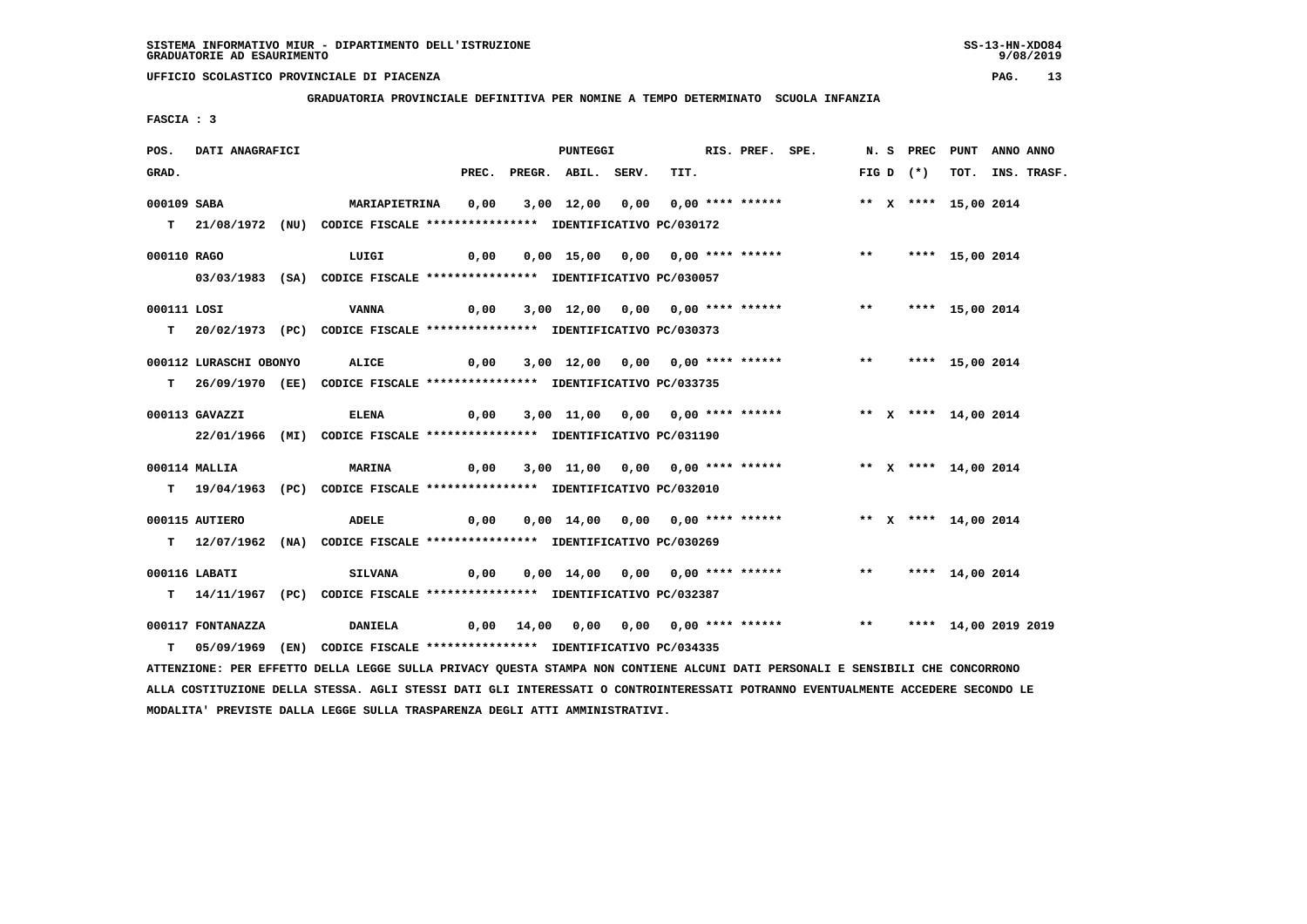**MODALITA' PREVISTE DALLA LEGGE SULLA TRASPARENZA DEGLI ATTI AMMINISTRATIVI.**

# **UFFICIO SCOLASTICO PROVINCIALE DI PIACENZA PAG. 13**

 **GRADUATORIA PROVINCIALE DEFINITIVA PER NOMINE A TEMPO DETERMINATO SCUOLA INFANZIA**

 **FASCIA : 3**

| POS.                                                                       | DATI ANAGRAFICI        |  |                                                                                                                                 |      |  | PUNTEGGI                 |  |                                  |  | RIS. PREF. SPE. |                                                                         |       |             | N. S PREC PUNT ANNO ANNO |                  |
|----------------------------------------------------------------------------|------------------------|--|---------------------------------------------------------------------------------------------------------------------------------|------|--|--------------------------|--|----------------------------------|--|-----------------|-------------------------------------------------------------------------|-------|-------------|--------------------------|------------------|
| GRAD.                                                                      |                        |  |                                                                                                                                 |      |  | PREC. PREGR. ABIL. SERV. |  | TIT.                             |  |                 |                                                                         |       | FIG D $(*)$ |                          | TOT. INS. TRASF. |
| 000109 SABA                                                                |                        |  | <b>MARIAPIETRINA</b>                                                                                                            | 0,00 |  |                          |  | 3,00 12,00 0,00 0,00 **** ****** |  |                 |                                                                         |       |             | ** X **** 15,00 2014     |                  |
|                                                                            |                        |  |                                                                                                                                 |      |  |                          |  |                                  |  |                 |                                                                         |       |             |                          |                  |
| T 21/08/1972 (NU) CODICE FISCALE **************** IDENTIFICATIVO PC/030172 |                        |  |                                                                                                                                 |      |  |                          |  |                                  |  |                 |                                                                         |       |             |                          |                  |
| 000110 RAGO                                                                |                        |  | LUIGI                                                                                                                           | 0,00 |  |                          |  | 0,00 15,00 0,00 0,00 **** ****** |  |                 |                                                                         | $***$ |             | **** 15,00 2014          |                  |
|                                                                            |                        |  | 03/03/1983 (SA) CODICE FISCALE *************** IDENTIFICATIVO PC/030057                                                         |      |  |                          |  |                                  |  |                 |                                                                         |       |             |                          |                  |
|                                                                            |                        |  |                                                                                                                                 |      |  |                          |  |                                  |  |                 |                                                                         |       |             |                          |                  |
| 000111 LOSI                                                                |                        |  | VANNA                                                                                                                           | 0,00 |  |                          |  | 3,00 12,00 0,00 0,00 **** ****** |  |                 |                                                                         |       |             | ** **** 15,00 2014       |                  |
|                                                                            |                        |  | T 20/02/1973 (PC) CODICE FISCALE *************** IDENTIFICATIVO PC/030373                                                       |      |  |                          |  |                                  |  |                 |                                                                         |       |             |                          |                  |
|                                                                            | 000112 LURASCHI OBONYO |  | <b>ALICE</b><br>$\overline{0,00}$                                                                                               |      |  |                          |  | 3,00 12,00 0,00 0,00 **** ****** |  |                 |                                                                         |       |             | ** **** 15,00 2014       |                  |
|                                                                            |                        |  | T 26/09/1970 (EE) CODICE FISCALE **************** IDENTIFICATIVO PC/033735                                                      |      |  |                          |  |                                  |  |                 |                                                                         |       |             |                          |                  |
|                                                                            |                        |  |                                                                                                                                 |      |  |                          |  |                                  |  |                 |                                                                         |       |             |                          |                  |
|                                                                            | 000113 GAVAZZI         |  | <b>ELENA</b>                                                                                                                    | 0,00 |  |                          |  | 3,00 11,00 0,00 0,00 **** ****** |  |                 |                                                                         |       |             | ** X **** 14,00 2014     |                  |
|                                                                            |                        |  | 22/01/1966 (MI) CODICE FISCALE *************** IDENTIFICATIVO PC/031190                                                         |      |  |                          |  |                                  |  |                 |                                                                         |       |             |                          |                  |
|                                                                            | 000114 MALLIA          |  | <b>MARINA</b>                                                                                                                   | 0,00 |  |                          |  |                                  |  |                 |                                                                         |       |             |                          |                  |
|                                                                            |                        |  |                                                                                                                                 |      |  |                          |  |                                  |  |                 |                                                                         |       |             |                          |                  |
|                                                                            |                        |  | T 19/04/1963 (PC) CODICE FISCALE **************** IDENTIFICATIVO PC/032010                                                      |      |  |                          |  |                                  |  |                 |                                                                         |       |             |                          |                  |
|                                                                            | 000115 AUTIERO         |  | <b>ADELE</b>                                                                                                                    | 0,00 |  |                          |  |                                  |  |                 | 0,00 14,00 0,00 0,00 **** ****** * *** * **** 14,00 2014                |       |             |                          |                  |
|                                                                            |                        |  | T 12/07/1962 (NA) CODICE FISCALE **************** IDENTIFICATIVO PC/030269                                                      |      |  |                          |  |                                  |  |                 |                                                                         |       |             |                          |                  |
|                                                                            |                        |  |                                                                                                                                 |      |  |                          |  |                                  |  |                 |                                                                         |       |             |                          |                  |
|                                                                            | 000116 LABATI          |  | <b>SILVANA</b>                                                                                                                  | 0,00 |  |                          |  |                                  |  |                 | 0,00 14,00 0,00 0,00 **** ******               **       **** 14,00 2014 |       |             |                          |                  |
|                                                                            |                        |  | T 14/11/1967 (PC) CODICE FISCALE *************** IDENTIFICATIVO PC/032387                                                       |      |  |                          |  |                                  |  |                 |                                                                         |       |             |                          |                  |
|                                                                            | 000117 FONTANAZZA      |  | <b>DANIELA</b>                                                                                                                  |      |  |                          |  |                                  |  |                 | $0,00$ $14,00$ $0,00$ $0,00$ $0,00$ $***$ **** ******                   |       |             | ** **** 14,00 2019 2019  |                  |
| т                                                                          |                        |  | 05/09/1969 (EN) CODICE FISCALE *************** IDENTIFICATIVO PC/034335                                                         |      |  |                          |  |                                  |  |                 |                                                                         |       |             |                          |                  |
|                                                                            |                        |  | ATTENZIONE: PER EFFETTO DELLA LEGGE SULLA PRIVACY QUESTA STAMPA NON CONTIENE ALCUNI DATI PERSONALI E SENSIBILI CHE CONCORRONO   |      |  |                          |  |                                  |  |                 |                                                                         |       |             |                          |                  |
|                                                                            |                        |  | ALLA COSTITUZIONE DELLA STESSA. AGLI STESSI DATI GLI INTERESSATI O CONTROINTERESSATI POTRANNO EVENTUALMENTE ACCEDERE SECONDO LE |      |  |                          |  |                                  |  |                 |                                                                         |       |             |                          |                  |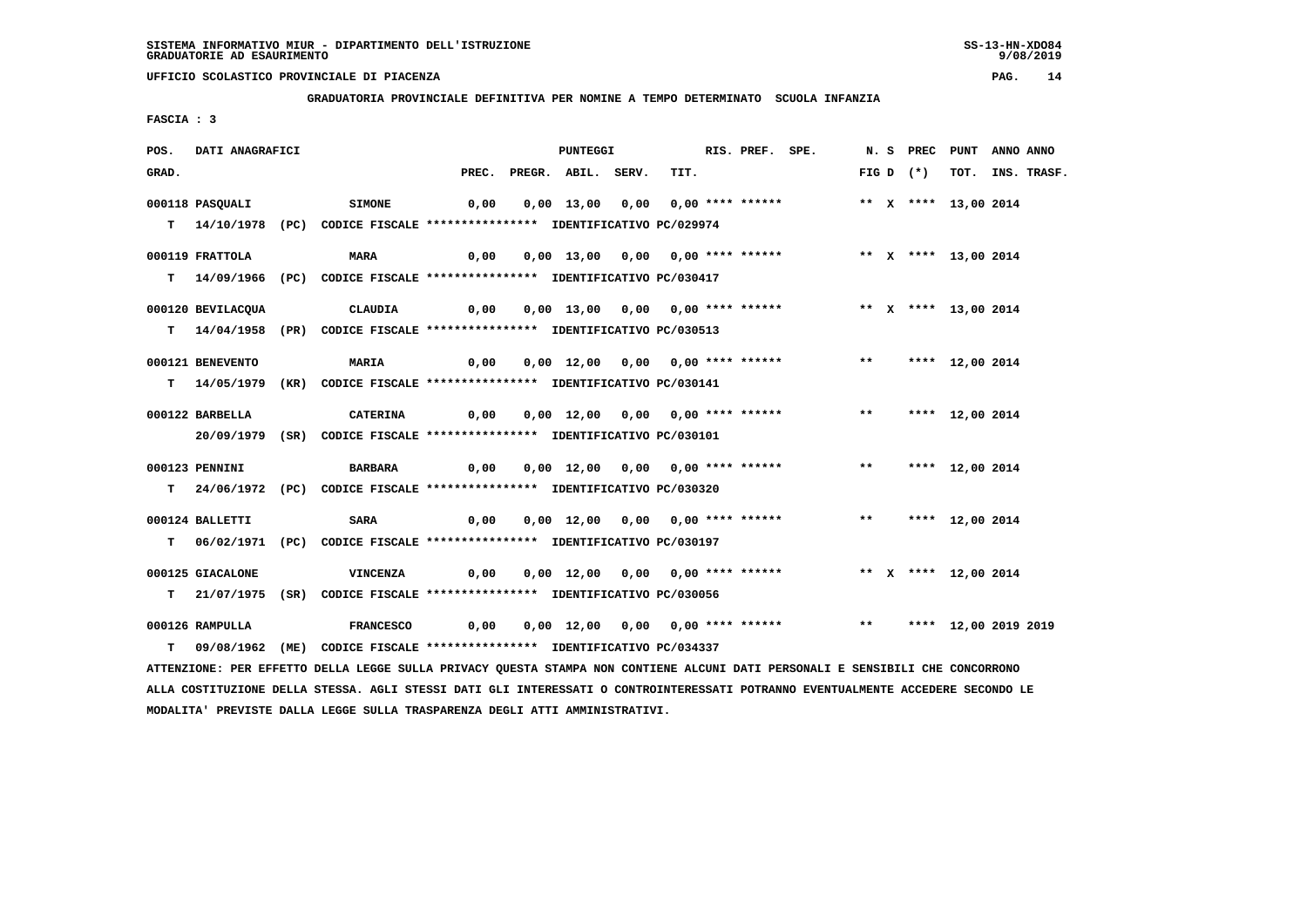**GRADUATORIA PROVINCIALE DEFINITIVA PER NOMINE A TEMPO DETERMINATO SCUOLA INFANZIA**

 **FASCIA : 3**

| POS.  | DATI ANAGRAFICI   |                                                                                                                                 |      | PUNTEGGI                         |      | RIS. PREF. SPE. |                                                                            |       |             | N. S PREC PUNT ANNO ANNO |                  |
|-------|-------------------|---------------------------------------------------------------------------------------------------------------------------------|------|----------------------------------|------|-----------------|----------------------------------------------------------------------------|-------|-------------|--------------------------|------------------|
| GRAD. |                   |                                                                                                                                 |      | PREC. PREGR. ABIL. SERV.         | TIT. |                 |                                                                            |       | FIG D $(*)$ |                          | TOT. INS. TRASF. |
|       | 000118 PASOUALI   | <b>SIMONE</b>                                                                                                                   | 0,00 | 0,00 13,00 0,00 0,00 **** ****** |      |                 |                                                                            |       |             | ** X **** 13,00 2014     |                  |
|       |                   |                                                                                                                                 |      |                                  |      |                 |                                                                            |       |             |                          |                  |
|       |                   | T 14/10/1978 (PC) CODICE FISCALE *************** IDENTIFICATIVO PC/029974                                                       |      |                                  |      |                 |                                                                            |       |             |                          |                  |
|       | 000119 FRATTOLA   | <b>MARA</b>                                                                                                                     | 0,00 | 0,00 13,00 0,00 0,00 **** ****** |      |                 |                                                                            |       |             | ** X **** 13,00 2014     |                  |
|       |                   | T 14/09/1966 (PC) CODICE FISCALE **************** IDENTIFICATIVO PC/030417                                                      |      |                                  |      |                 |                                                                            |       |             |                          |                  |
|       |                   |                                                                                                                                 |      |                                  |      |                 |                                                                            |       |             |                          |                  |
|       | 000120 BEVILACQUA | <b>CLAUDIA</b>                                                                                                                  | 0,00 | 0,00 13,00 0,00 0,00 **** ****** |      |                 |                                                                            |       |             | ** X **** 13,00 2014     |                  |
|       |                   | T 14/04/1958 (PR) CODICE FISCALE *************** IDENTIFICATIVO PC/030513                                                       |      |                                  |      |                 |                                                                            |       |             |                          |                  |
|       | 000121 BENEVENTO  | <b>MARIA</b>                                                                                                                    | 0,00 |                                  |      |                 | 0,00 12,00 0,00 0,00 **** ******             **       **** 12,00 2014      |       |             |                          |                  |
|       |                   |                                                                                                                                 |      |                                  |      |                 |                                                                            |       |             |                          |                  |
|       |                   | T 14/05/1979 (KR) CODICE FISCALE **************** IDENTIFICATIVO PC/030141                                                      |      |                                  |      |                 |                                                                            |       |             |                          |                  |
|       | 000122 BARBELLA   | <b>CATERINA</b>                                                                                                                 | 0,00 | 0,00 12,00 0,00 0,00 **** ****** |      |                 |                                                                            | $***$ |             | **** 12,00 2014          |                  |
|       |                   | 20/09/1979 (SR) CODICE FISCALE *************** IDENTIFICATIVO PC/030101                                                         |      |                                  |      |                 |                                                                            |       |             |                          |                  |
|       |                   |                                                                                                                                 |      |                                  |      |                 |                                                                            |       |             |                          |                  |
|       | 000123 PENNINI    | <b>BARBARA</b>                                                                                                                  | 0,00 |                                  |      |                 | 0,00 12,00 0,00 0,00 **** ******               **       **** 12,00 2014    |       |             |                          |                  |
|       |                   | T 24/06/1972 (PC) CODICE FISCALE **************** IDENTIFICATIVO PC/030320                                                      |      |                                  |      |                 |                                                                            |       |             |                          |                  |
|       |                   |                                                                                                                                 |      |                                  |      |                 |                                                                            |       |             |                          |                  |
|       | 000124 BALLETTI   | <b>SARA</b>                                                                                                                     | 0,00 |                                  |      |                 | 0,00 12,00 0,00 0,00 **** ******                                           |       |             | ** **** 12,00 2014       |                  |
|       |                   | T 06/02/1971 (PC) CODICE FISCALE **************** IDENTIFICATIVO PC/030197                                                      |      |                                  |      |                 |                                                                            |       |             |                          |                  |
|       |                   |                                                                                                                                 |      |                                  |      |                 |                                                                            |       |             |                          |                  |
|       | 000125 GIACALONE  | VINCENZA                                                                                                                        |      |                                  |      |                 |                                                                            |       |             |                          |                  |
|       |                   | T 21/07/1975 (SR) CODICE FISCALE **************** IDENTIFICATIVO PC/030056                                                      |      |                                  |      |                 |                                                                            |       |             |                          |                  |
|       | 000126 RAMPULLA   | FRANCESCO                                                                                                                       | 0,00 |                                  |      |                 | 0,00 12,00 0,00 0,00 **** ******             **       **** 12,00 2019 2019 |       |             |                          |                  |
| T.    |                   | 09/08/1962 (ME) CODICE FISCALE *************** IDENTIFICATIVO PC/034337                                                         |      |                                  |      |                 |                                                                            |       |             |                          |                  |
|       |                   | ATTENZIONE: PER EFFETTO DELLA LEGGE SULLA PRIVACY QUESTA STAMPA NON CONTIENE ALCUNI DATI PERSONALI E SENSIBILI CHE CONCORRONO   |      |                                  |      |                 |                                                                            |       |             |                          |                  |
|       |                   | ALLA COSTITUZIONE DELLA STESSA. AGLI STESSI DATI GLI INTERESSATI O CONTROINTERESSATI POTRANNO EVENTUALMENTE ACCEDERE SECONDO LE |      |                                  |      |                 |                                                                            |       |             |                          |                  |

 **MODALITA' PREVISTE DALLA LEGGE SULLA TRASPARENZA DEGLI ATTI AMMINISTRATIVI.**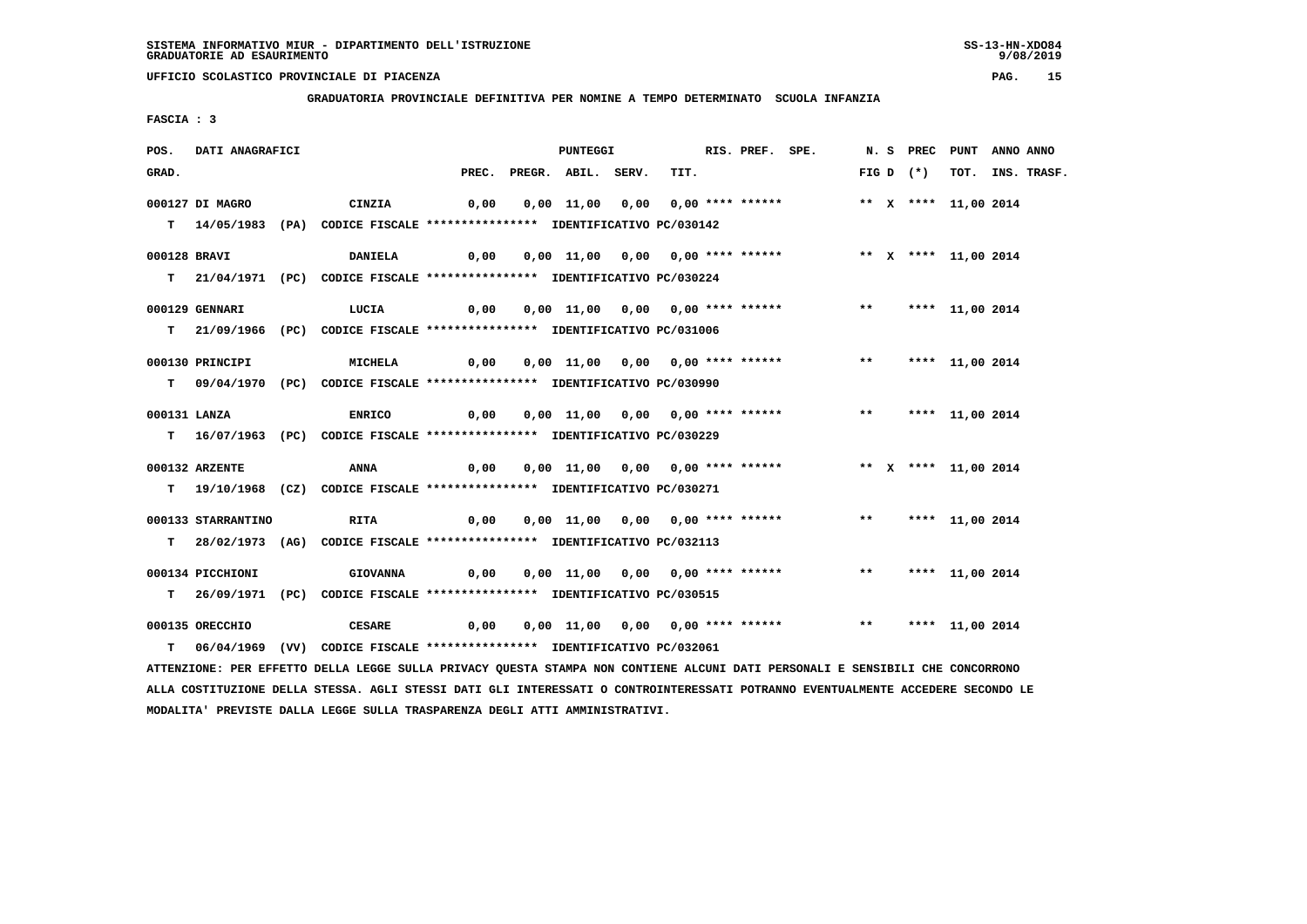**GRADUATORIA PROVINCIALE DEFINITIVA PER NOMINE A TEMPO DETERMINATO SCUOLA INFANZIA**

 **FASCIA : 3**

| POS.         | DATI ANAGRAFICI    |                                                                                                                               |      | PUNTEGGI                 |                                                                     | RIS. PREF. SPE. |  |       |             | N. S PREC PUNT ANNO ANNO |                  |
|--------------|--------------------|-------------------------------------------------------------------------------------------------------------------------------|------|--------------------------|---------------------------------------------------------------------|-----------------|--|-------|-------------|--------------------------|------------------|
| GRAD.        |                    |                                                                                                                               |      | PREC. PREGR. ABIL. SERV. | TIT.                                                                |                 |  |       | FIG D $(*)$ |                          | TOT. INS. TRASF. |
|              | 000127 DI MAGRO    | CINZIA                                                                                                                        | 0,00 |                          | 0,00 11,00 0,00 0,00 **** ******                                    |                 |  |       |             | ** X **** 11,00 2014     |                  |
|              |                    | T 14/05/1983 (PA) CODICE FISCALE **************** IDENTIFICATIVO PC/030142                                                    |      |                          |                                                                     |                 |  |       |             |                          |                  |
| 000128 BRAVI |                    | <b>DANIELA</b>                                                                                                                | 0,00 |                          | 0,00 11,00 0,00 0,00 **** ****** *** ** ** ** ** 11,00 2014         |                 |  |       |             |                          |                  |
|              |                    | T 21/04/1971 (PC) CODICE FISCALE *************** IDENTIFICATIVO PC/030224                                                     |      |                          |                                                                     |                 |  |       |             |                          |                  |
|              | 000129 GENNARI     | LUCIA                                                                                                                         | 0,00 |                          | 0,00 11,00 0,00 0,00 **** ******                                    |                 |  | $***$ |             | **** 11,00 2014          |                  |
|              |                    | T 21/09/1966 (PC) CODICE FISCALE *************** IDENTIFICATIVO PC/031006                                                     |      |                          |                                                                     |                 |  |       |             |                          |                  |
|              | 000130 PRINCIPI    | MICHELA                                                                                                                       | 0,00 |                          | 0,00 11,00 0,00 0,00 **** ******                                    |                 |  |       |             | ** **** 11,00 2014       |                  |
|              |                    | T 09/04/1970 (PC) CODICE FISCALE *************** IDENTIFICATIVO PC/030990                                                     |      |                          |                                                                     |                 |  |       |             |                          |                  |
| 000131 LANZA |                    | <b>ENRICO</b>                                                                                                                 | 0,00 |                          | 0,00 11,00 0,00 0,00 **** ****** *** *** **** 11,00 2014            |                 |  |       |             |                          |                  |
|              |                    | T 16/07/1963 (PC) CODICE FISCALE *************** IDENTIFICATIVO PC/030229                                                     |      |                          |                                                                     |                 |  |       |             |                          |                  |
|              | 000132 ARZENTE     | ANNA                                                                                                                          | 0,00 |                          | 0,00 11,00 0,00 0,00 **** ****** *** ** ** *** 11,00 2014           |                 |  |       |             |                          |                  |
|              |                    | T 19/10/1968 (CZ) CODICE FISCALE *************** IDENTIFICATIVO PC/030271                                                     |      |                          |                                                                     |                 |  |       |             |                          |                  |
|              | 000133 STARRANTINO | RITA                                                                                                                          | 0,00 |                          | 0,00 11,00 0,00 0,00 **** ******                                    |                 |  |       |             | ** **** 11,00 2014       |                  |
|              |                    | T 28/02/1973 (AG) CODICE FISCALE *************** IDENTIFICATIVO PC/032113                                                     |      |                          |                                                                     |                 |  |       |             |                          |                  |
|              | 000134 PICCHIONI   | <b>GIOVANNA</b>                                                                                                               | 0,00 |                          | 0,00 11,00 0,00 0,00 **** ******             **     **** 11,00 2014 |                 |  |       |             |                          |                  |
|              |                    | T 26/09/1971 (PC) CODICE FISCALE *************** IDENTIFICATIVO PC/030515                                                     |      |                          |                                                                     |                 |  |       |             |                          |                  |
|              | 000135 ORECCHIO    | <b>CESARE</b>                                                                                                                 | 0,00 |                          | 0,00 11,00 0,00 0,00 **** ****** *** **** 11,00 2014                |                 |  |       |             |                          |                  |
|              |                    | T 06/04/1969 (VV) CODICE FISCALE **************** IDENTIFICATIVO PC/032061                                                    |      |                          |                                                                     |                 |  |       |             |                          |                  |
|              |                    | ATTENZIONE: PER EFFETTO DELLA LEGGE SULLA PRIVACY QUESTA STAMPA NON CONTIENE ALCUNI DATI PERSONALI E SENSIBILI CHE CONCORRONO |      |                          |                                                                     |                 |  |       |             |                          |                  |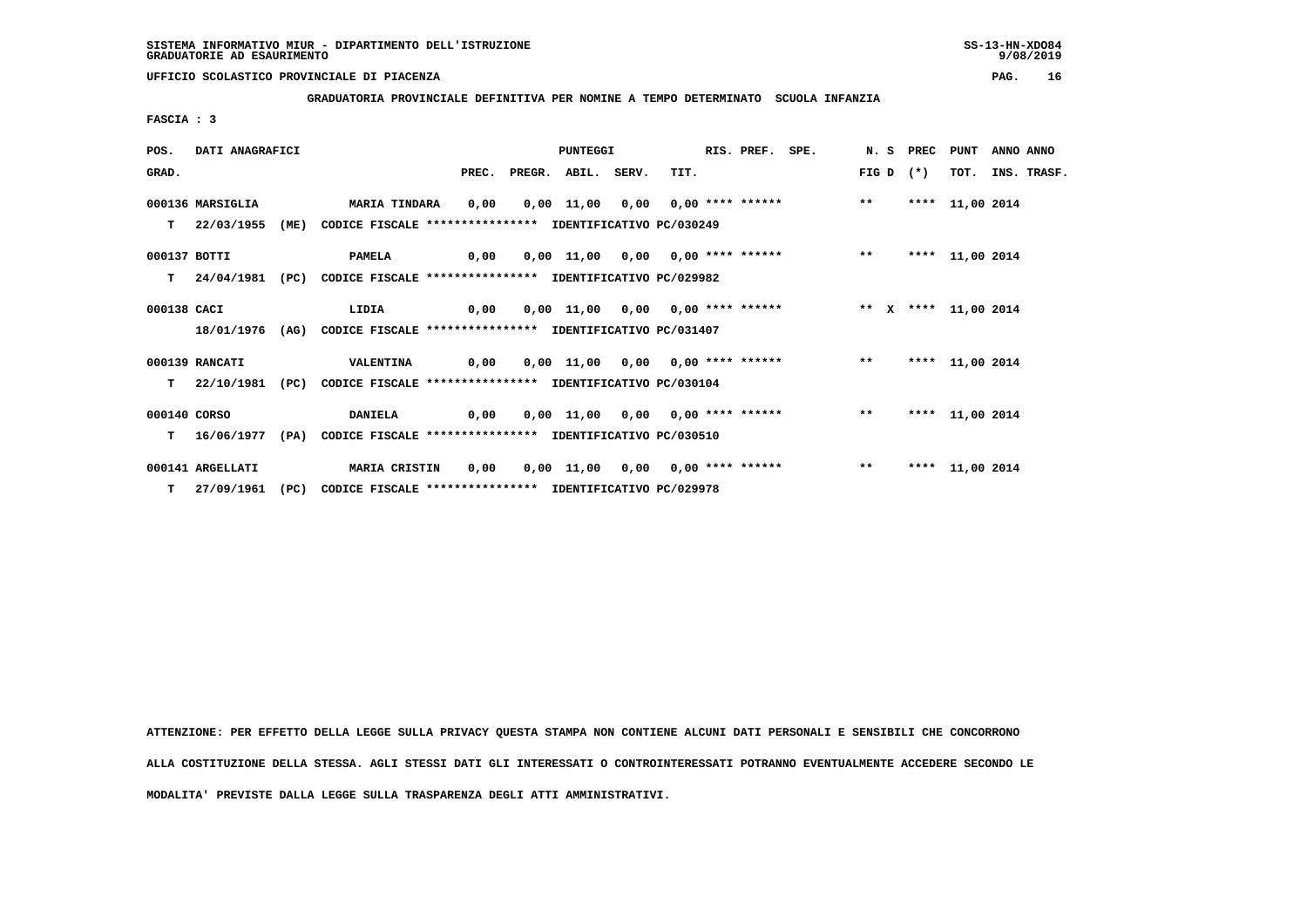**GRADUATORIA PROVINCIALE DEFINITIVA PER NOMINE A TEMPO DETERMINATO SCUOLA INFANZIA**

 **FASCIA : 3**

| POS.         | DATI ANAGRAFICI  |      | <b>PUNTEGGI</b>                                                           |      |                          |  | RIS. PREF.                                               | SPE. |  | N. S PREC   | <b>PUNT</b> | ANNO ANNO       |  |                  |
|--------------|------------------|------|---------------------------------------------------------------------------|------|--------------------------|--|----------------------------------------------------------|------|--|-------------|-------------|-----------------|--|------------------|
| GRAD.        |                  |      |                                                                           |      | PREC. PREGR. ABIL. SERV. |  | TIT.                                                     |      |  | $FIG D (*)$ |             |                 |  | TOT. INS. TRASF. |
|              | 000136 MARSIGLIA |      | <b>MARIA TINDARA</b>                                                      | 0.00 |                          |  | 0,00 11,00 0,00 0,00 **** ****** *** **                  |      |  |             |             | **** 11,00 2014 |  |                  |
|              | $T = 22/03/1955$ | (ME) | CODICE FISCALE **************** IDENTIFICATIVO PC/030249                  |      |                          |  |                                                          |      |  |             |             |                 |  |                  |
| 000137 BOTTI |                  |      | <b>PAMELA</b>                                                             |      |                          |  |                                                          |      |  |             |             | **** 11,00 2014 |  |                  |
|              |                  |      | T 24/04/1981 (PC) CODICE FISCALE *************** IDENTIFICATIVO PC/029982 |      |                          |  |                                                          |      |  |             |             |                 |  |                  |
| 000138 CACI  |                  |      | $\overline{0,00}$<br>LIDIA                                                |      |                          |  | 0,00 11,00 0,00 0,00 **** ****** * *** * **** 11,00 2014 |      |  |             |             |                 |  |                  |
|              | 18/01/1976       |      | (AG) CODICE FISCALE **************** IDENTIFICATIVO PC/031407             |      |                          |  |                                                          |      |  |             |             |                 |  |                  |
|              | 000139 RANCATI   |      | <b>VALENTINA</b>                                                          |      |                          |  | 0,00 0,00 11,00 0,00 0,00 **** ****** *** **             |      |  |             |             | **** 11,00 2014 |  |                  |
|              |                  |      | T 22/10/1981 (PC) CODICE FISCALE *************** IDENTIFICATIVO PC/030104 |      |                          |  |                                                          |      |  |             |             |                 |  |                  |
| 000140 CORSO |                  |      | <b>DANIELA</b>                                                            |      |                          |  | 0,00 0,00 11,00 0,00 0,00 **** ******           **       |      |  |             |             | **** 11,00 2014 |  |                  |
|              | $T = 16/06/1977$ | (PA) | CODICE FISCALE **************** IDENTIFICATIVO PC/030510                  |      |                          |  |                                                          |      |  |             |             |                 |  |                  |
|              | 000141 ARGELLATI |      | <b>MARIA CRISTIN</b>                                                      | 0,00 |                          |  | 0,00 11,00 0,00 0,00 **** ******                         |      |  | $***$       |             | **** 11,00 2014 |  |                  |
|              | T 27/09/1961     |      | (PC) CODICE FISCALE **************** IDENTIFICATIVO PC/029978             |      |                          |  |                                                          |      |  |             |             |                 |  |                  |

 **ATTENZIONE: PER EFFETTO DELLA LEGGE SULLA PRIVACY QUESTA STAMPA NON CONTIENE ALCUNI DATI PERSONALI E SENSIBILI CHE CONCORRONO ALLA COSTITUZIONE DELLA STESSA. AGLI STESSI DATI GLI INTERESSATI O CONTROINTERESSATI POTRANNO EVENTUALMENTE ACCEDERE SECONDO LE MODALITA' PREVISTE DALLA LEGGE SULLA TRASPARENZA DEGLI ATTI AMMINISTRATIVI.**